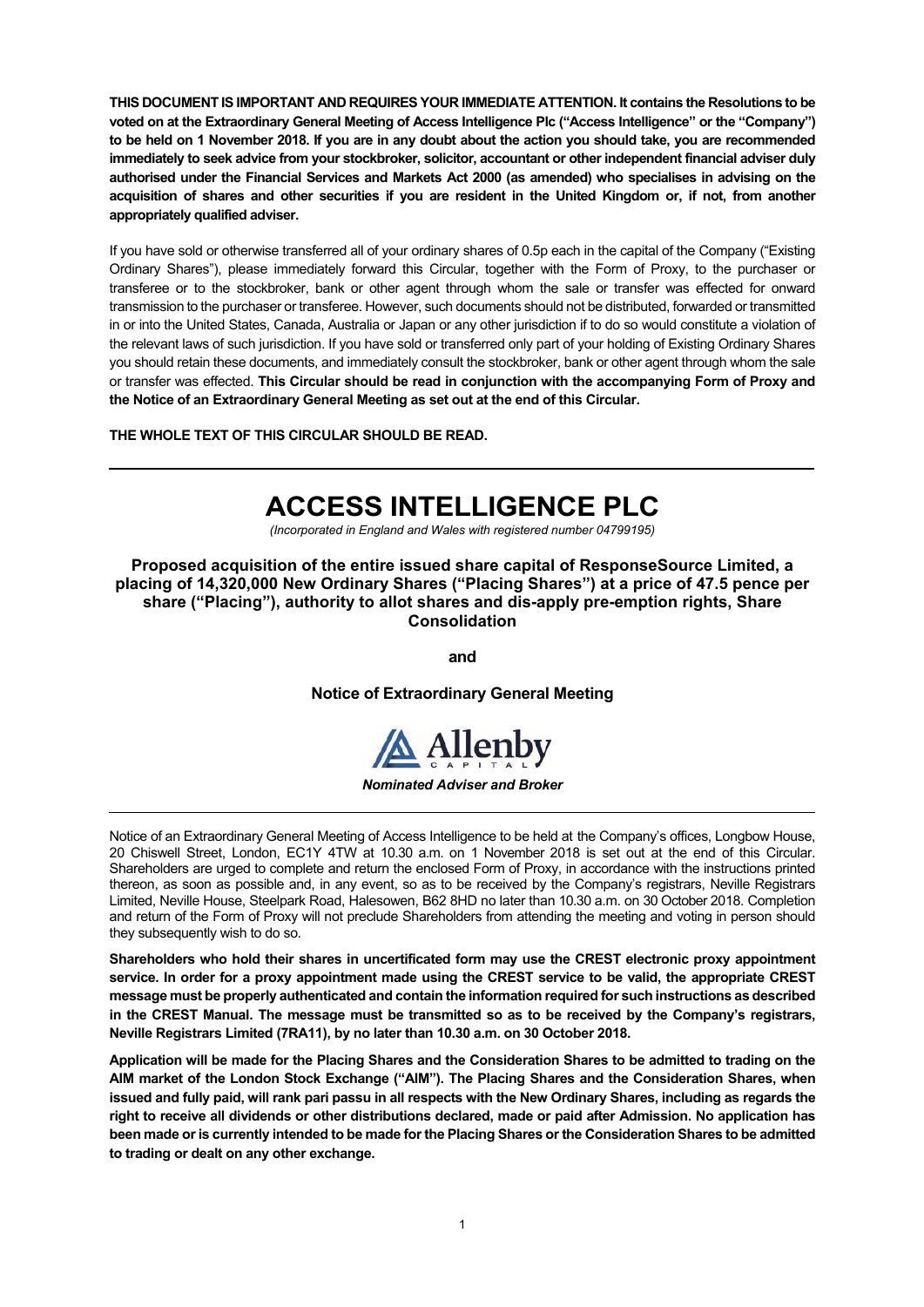**THIS DOCUMENT IS IMPORTANT AND REQUIRES YOUR IMMEDIATE ATTENTION. It contains the Resolutions to be voted on at the Extraordinary General Meeting of Access Intelligence Plc ("Access Intelligence" or the "Company") to be held on 1 November 2018. If you are in any doubt about the action you should take, you are recommended immediately to seek advice from your stockbroker, solicitor, accountant or other independent financial adviser duly authorised under the Financial Services and Markets Act 2000 (as amended) who specialises in advising on the acquisition of shares and other securities if you are resident in the United Kingdom or, if not, from another appropriately qualified adviser.** 

If you have sold or otherwise transferred all of your ordinary shares of 0.5p each in the capital of the Company ("Existing Ordinary Shares"), please immediately forward this Circular, together with the Form of Proxy, to the purchaser or transferee or to the stockbroker, bank or other agent through whom the sale or transfer was effected for onward transmission to the purchaser or transferee. However, such documents should not be distributed, forwarded or transmitted in or into the United States, Canada, Australia or Japan or any other jurisdiction if to do so would constitute a violation of the relevant laws of such jurisdiction. If you have sold or transferred only part of your holding of Existing Ordinary Shares you should retain these documents, and immediately consult the stockbroker, bank or other agent through whom the sale or transfer was effected. **This Circular should be read in conjunction with the accompanying Form of Proxy and the Notice of an Extraordinary General Meeting as set out at the end of this Circular.** 

**THE WHOLE TEXT OF THIS CIRCULAR SHOULD BE READ.**

# **ACCESS INTELLIGENCE PLC**

*(Incorporated in England and Wales with registered number 04799195)* 

**Proposed acquisition of the entire issued share capital of ResponseSource Limited, a placing of 14,320,000 New Ordinary Shares ("Placing Shares") at a price of 47.5 pence per share ("Placing"), authority to allot shares and dis-apply pre-emption rights, Share Consolidation** 

**and** 

**Notice of Extraordinary General Meeting** 



### *Nominated Adviser and Broker*

Notice of an Extraordinary General Meeting of Access Intelligence to be held at the Company's offices, Longbow House, 20 Chiswell Street, London, EC1Y 4TW at 10.30 a.m. on 1 November 2018 is set out at the end of this Circular. Shareholders are urged to complete and return the enclosed Form of Proxy, in accordance with the instructions printed thereon, as soon as possible and, in any event, so as to be received by the Company's registrars, Neville Registrars Limited, Neville House, Steelpark Road, Halesowen, B62 8HD no later than 10.30 a.m. on 30 October 2018. Completion and return of the Form of Proxy will not preclude Shareholders from attending the meeting and voting in person should they subsequently wish to do so.

**Shareholders who hold their shares in uncertificated form may use the CREST electronic proxy appointment service. In order for a proxy appointment made using the CREST service to be valid, the appropriate CREST message must be properly authenticated and contain the information required for such instructions as described in the CREST Manual. The message must be transmitted so as to be received by the Company's registrars, Neville Registrars Limited (7RA11), by no later than 10.30 a.m. on 30 October 2018.** 

**Application will be made for the Placing Shares and the Consideration Shares to be admitted to trading on the AIM market of the London Stock Exchange ("AIM"). The Placing Shares and the Consideration Shares, when issued and fully paid, will rank pari passu in all respects with the New Ordinary Shares, including as regards the right to receive all dividends or other distributions declared, made or paid after Admission. No application has been made or is currently intended to be made for the Placing Shares or the Consideration Shares to be admitted to trading or dealt on any other exchange.**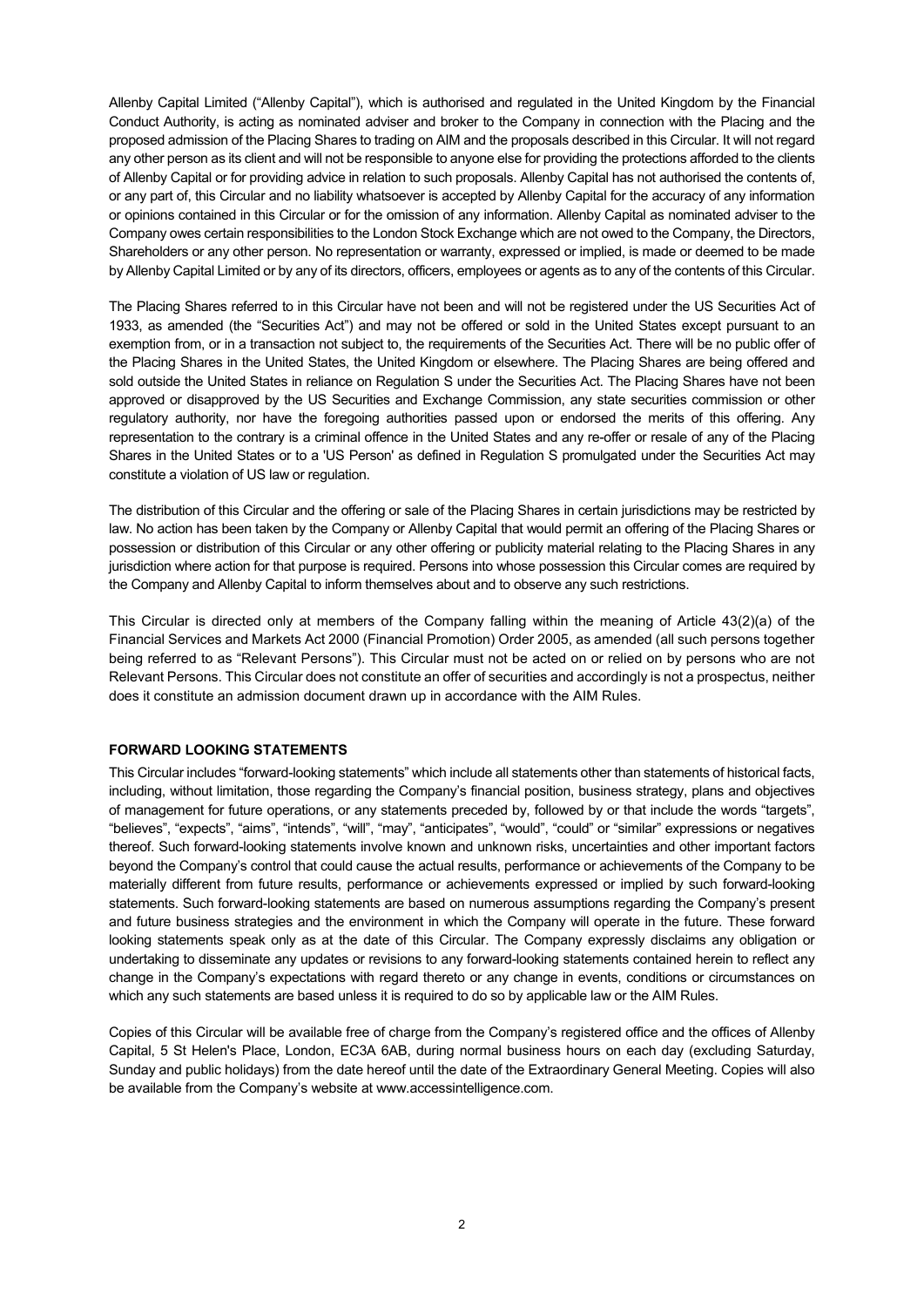Allenby Capital Limited ("Allenby Capital"), which is authorised and regulated in the United Kingdom by the Financial Conduct Authority, is acting as nominated adviser and broker to the Company in connection with the Placing and the proposed admission of the Placing Shares to trading on AIM and the proposals described in this Circular. It will not regard any other person as its client and will not be responsible to anyone else for providing the protections afforded to the clients of Allenby Capital or for providing advice in relation to such proposals. Allenby Capital has not authorised the contents of, or any part of, this Circular and no liability whatsoever is accepted by Allenby Capital for the accuracy of any information or opinions contained in this Circular or for the omission of any information. Allenby Capital as nominated adviser to the Company owes certain responsibilities to the London Stock Exchange which are not owed to the Company, the Directors, Shareholders or any other person. No representation or warranty, expressed or implied, is made or deemed to be made by Allenby Capital Limited or by any of its directors, officers, employees or agents as to any of the contents of this Circular.

The Placing Shares referred to in this Circular have not been and will not be registered under the US Securities Act of 1933, as amended (the "Securities Act") and may not be offered or sold in the United States except pursuant to an exemption from, or in a transaction not subject to, the requirements of the Securities Act. There will be no public offer of the Placing Shares in the United States, the United Kingdom or elsewhere. The Placing Shares are being offered and sold outside the United States in reliance on Regulation S under the Securities Act. The Placing Shares have not been approved or disapproved by the US Securities and Exchange Commission, any state securities commission or other regulatory authority, nor have the foregoing authorities passed upon or endorsed the merits of this offering. Any representation to the contrary is a criminal offence in the United States and any re-offer or resale of any of the Placing Shares in the United States or to a 'US Person' as defined in Regulation S promulgated under the Securities Act may constitute a violation of US law or regulation.

The distribution of this Circular and the offering or sale of the Placing Shares in certain jurisdictions may be restricted by law. No action has been taken by the Company or Allenby Capital that would permit an offering of the Placing Shares or possession or distribution of this Circular or any other offering or publicity material relating to the Placing Shares in any jurisdiction where action for that purpose is required. Persons into whose possession this Circular comes are required by the Company and Allenby Capital to inform themselves about and to observe any such restrictions.

This Circular is directed only at members of the Company falling within the meaning of Article 43(2)(a) of the Financial Services and Markets Act 2000 (Financial Promotion) Order 2005, as amended (all such persons together being referred to as "Relevant Persons"). This Circular must not be acted on or relied on by persons who are not Relevant Persons. This Circular does not constitute an offer of securities and accordingly is not a prospectus, neither does it constitute an admission document drawn up in accordance with the AIM Rules.

## **FORWARD LOOKING STATEMENTS**

This Circular includes "forward-looking statements" which include all statements other than statements of historical facts, including, without limitation, those regarding the Company's financial position, business strategy, plans and objectives of management for future operations, or any statements preceded by, followed by or that include the words "targets", "believes", "expects", "aims", "intends", "will", "may", "anticipates", "would", "could" or "similar" expressions or negatives thereof. Such forward-looking statements involve known and unknown risks, uncertainties and other important factors beyond the Company's control that could cause the actual results, performance or achievements of the Company to be materially different from future results, performance or achievements expressed or implied by such forward-looking statements. Such forward-looking statements are based on numerous assumptions regarding the Company's present and future business strategies and the environment in which the Company will operate in the future. These forward looking statements speak only as at the date of this Circular. The Company expressly disclaims any obligation or undertaking to disseminate any updates or revisions to any forward-looking statements contained herein to reflect any change in the Company's expectations with regard thereto or any change in events, conditions or circumstances on which any such statements are based unless it is required to do so by applicable law or the AIM Rules.

Copies of this Circular will be available free of charge from the Company's registered office and the offices of Allenby Capital, 5 St Helen's Place, London, EC3A 6AB, during normal business hours on each day (excluding Saturday, Sunday and public holidays) from the date hereof until the date of the Extraordinary General Meeting. Copies will also be available from the Company's website at www.accessintelligence.com.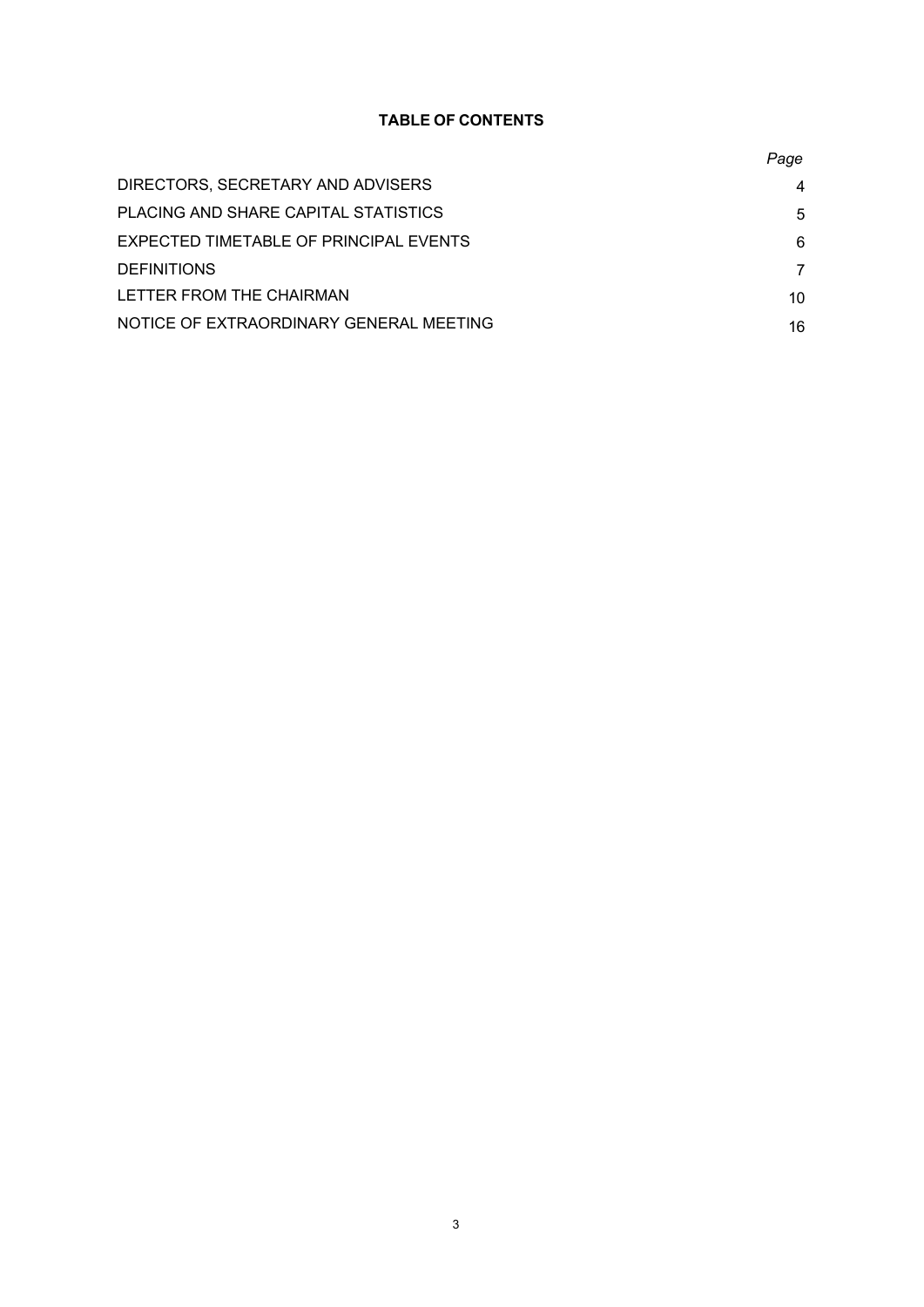# **TABLE OF CONTENTS**

|                                         | Page |
|-----------------------------------------|------|
| DIRECTORS, SECRETARY AND ADVISERS       | 4    |
| PLACING AND SHARE CAPITAL STATISTICS    | 5    |
| EXPECTED TIMETABLE OF PRINCIPAL EVENTS  | 6    |
| <b>DEFINITIONS</b>                      | 7    |
| LETTER FROM THE CHAIRMAN                | 10   |
| NOTICE OF EXTRAORDINARY GENERAL MEETING | 16   |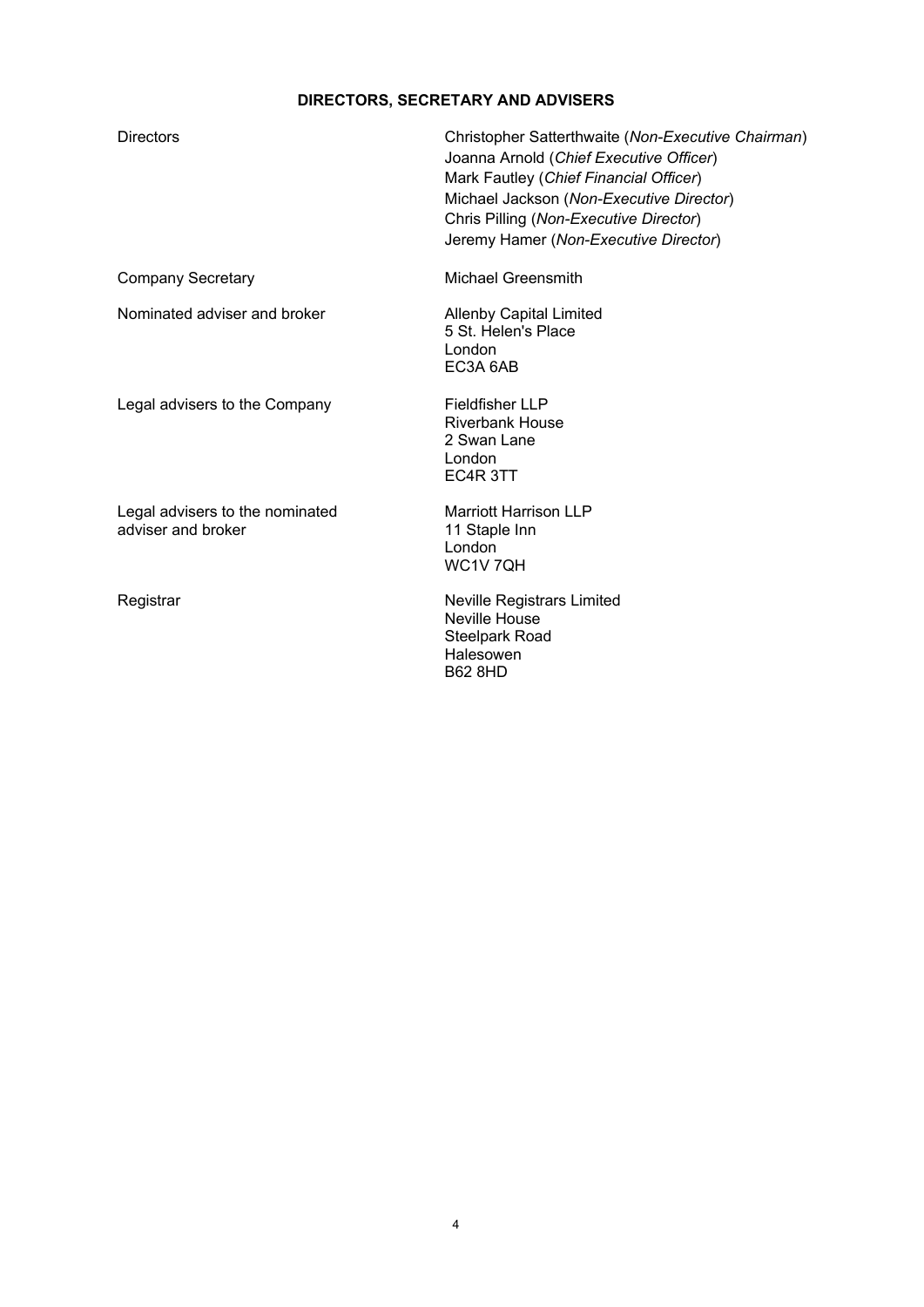# **DIRECTORS, SECRETARY AND ADVISERS**

| Directors                                             | Christopher Satterthwaite (Non-Executive Chairman)<br>Joanna Arnold (Chief Executive Officer)<br>Mark Fautley (Chief Financial Officer)<br>Michael Jackson (Non-Executive Director)<br>Chris Pilling (Non-Executive Director)<br>Jeremy Hamer (Non-Executive Director) |
|-------------------------------------------------------|------------------------------------------------------------------------------------------------------------------------------------------------------------------------------------------------------------------------------------------------------------------------|
| <b>Company Secretary</b>                              | Michael Greensmith                                                                                                                                                                                                                                                     |
| Nominated adviser and broker                          | <b>Allenby Capital Limited</b><br>5 St. Helen's Place<br>London<br>EC3A 6AB                                                                                                                                                                                            |
| Legal advisers to the Company                         | <b>Fieldfisher LLP</b><br><b>Riverbank House</b><br>2 Swan Lane<br>London<br>EC4R 3TT                                                                                                                                                                                  |
| Legal advisers to the nominated<br>adviser and broker | Marriott Harrison LLP<br>11 Staple Inn<br>London<br>WC1V 7QH                                                                                                                                                                                                           |
| Registrar                                             | <b>Neville Registrars Limited</b><br><b>Neville House</b><br>Steelpark Road<br>Halesowen                                                                                                                                                                               |

B62 8HD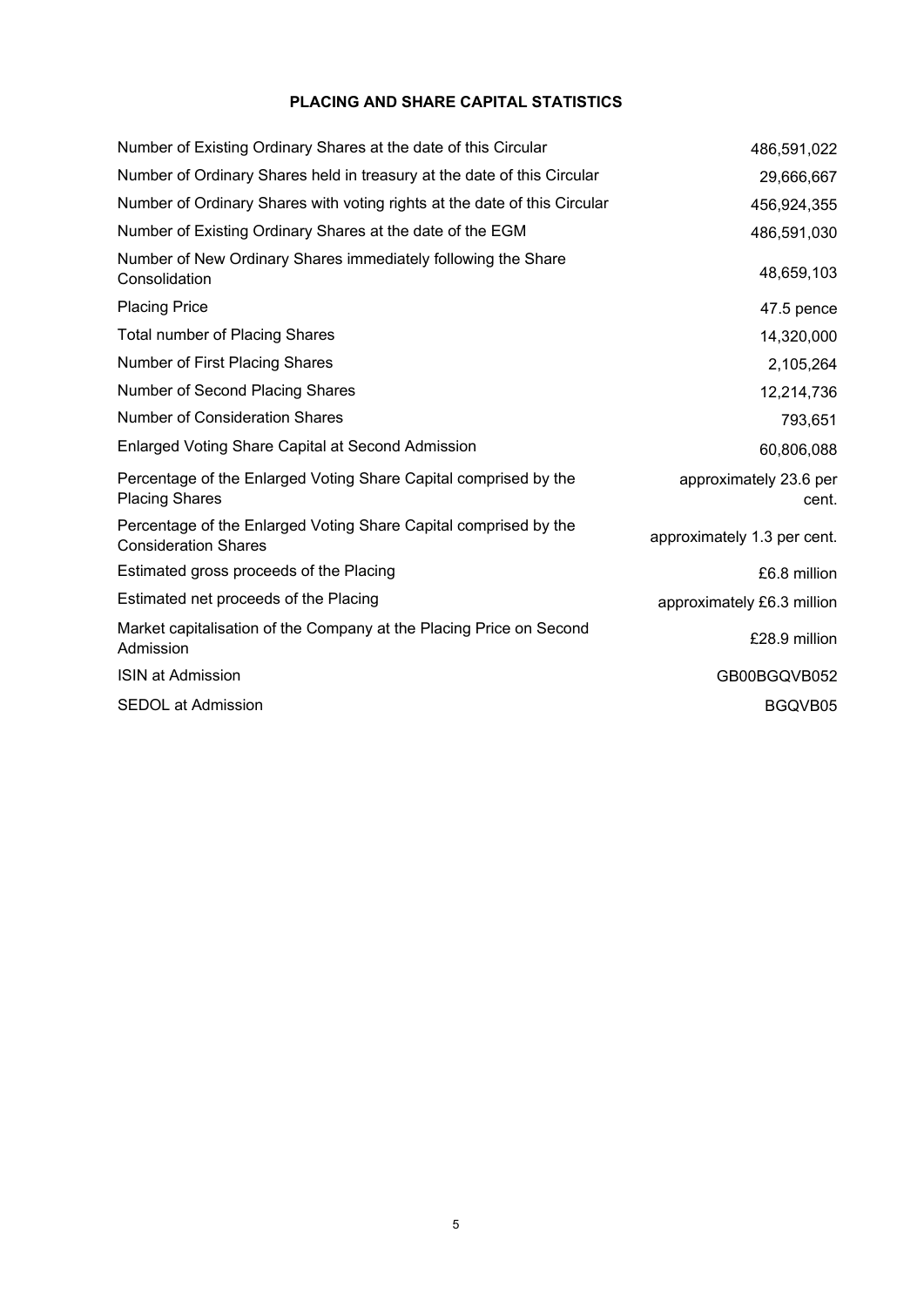# **PLACING AND SHARE CAPITAL STATISTICS**

| Number of Existing Ordinary Shares at the date of this Circular                                 | 486,591,022                     |
|-------------------------------------------------------------------------------------------------|---------------------------------|
| Number of Ordinary Shares held in treasury at the date of this Circular                         | 29,666,667                      |
| Number of Ordinary Shares with voting rights at the date of this Circular                       | 456,924,355                     |
| Number of Existing Ordinary Shares at the date of the EGM                                       | 486,591,030                     |
| Number of New Ordinary Shares immediately following the Share<br>Consolidation                  | 48,659,103                      |
| <b>Placing Price</b>                                                                            | 47.5 pence                      |
| <b>Total number of Placing Shares</b>                                                           | 14,320,000                      |
| Number of First Placing Shares                                                                  | 2,105,264                       |
| Number of Second Placing Shares                                                                 | 12,214,736                      |
| <b>Number of Consideration Shares</b>                                                           | 793,651                         |
| Enlarged Voting Share Capital at Second Admission                                               | 60,806,088                      |
| Percentage of the Enlarged Voting Share Capital comprised by the<br><b>Placing Shares</b>       | approximately 23.6 per<br>cent. |
| Percentage of the Enlarged Voting Share Capital comprised by the<br><b>Consideration Shares</b> | approximately 1.3 per cent.     |
| Estimated gross proceeds of the Placing                                                         | £6.8 million                    |
| Estimated net proceeds of the Placing                                                           | approximately £6.3 million      |
| Market capitalisation of the Company at the Placing Price on Second<br>Admission                | £28.9 million                   |
| <b>ISIN at Admission</b>                                                                        | GB00BGQVB052                    |
| <b>SEDOL at Admission</b>                                                                       | BGQVB05                         |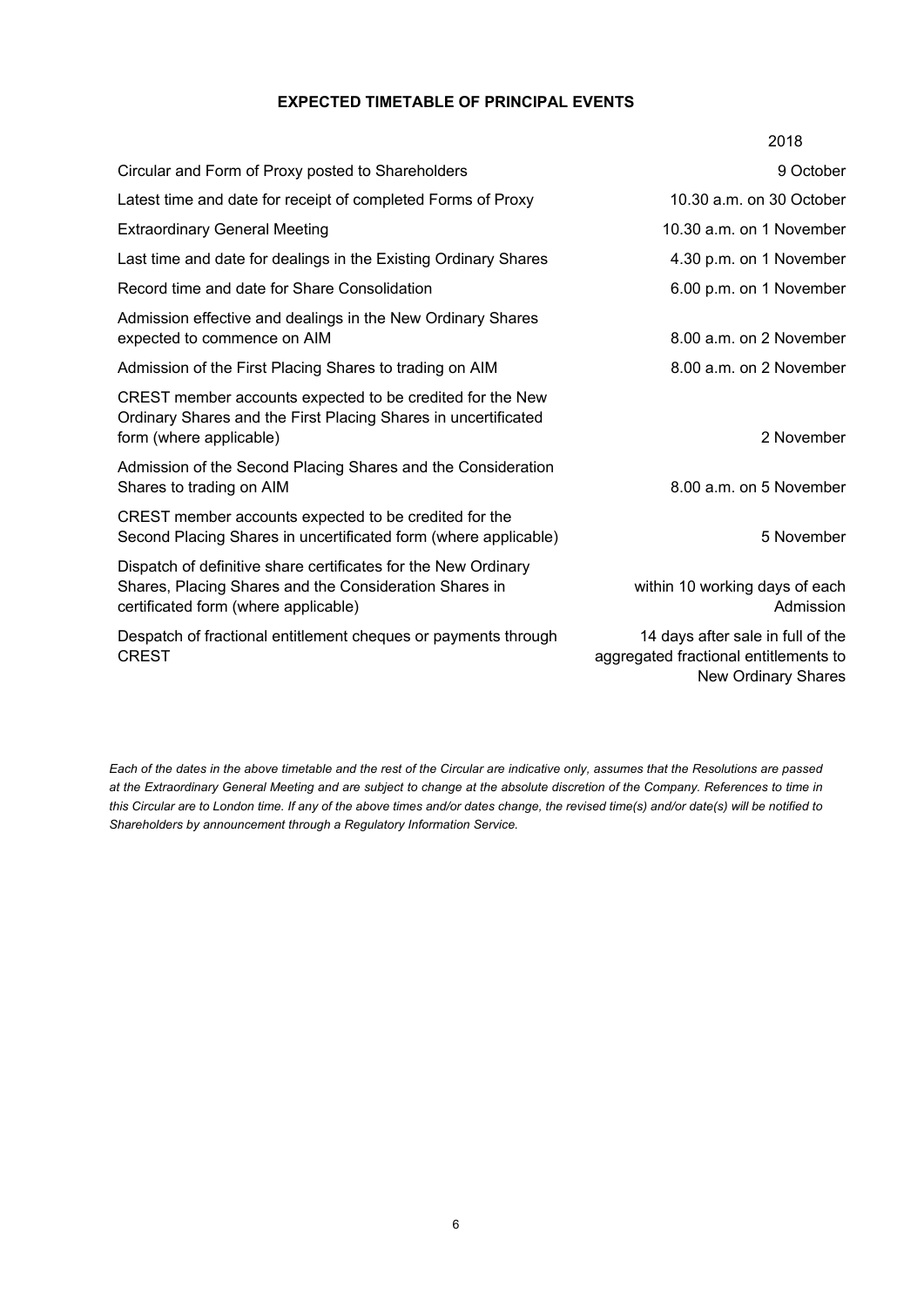# **EXPECTED TIMETABLE OF PRINCIPAL EVENTS**

|                                                                                                                                                                  | 2018                                                                                                     |
|------------------------------------------------------------------------------------------------------------------------------------------------------------------|----------------------------------------------------------------------------------------------------------|
| Circular and Form of Proxy posted to Shareholders                                                                                                                | 9 October                                                                                                |
| Latest time and date for receipt of completed Forms of Proxy                                                                                                     | 10.30 a.m. on 30 October                                                                                 |
| <b>Extraordinary General Meeting</b>                                                                                                                             | 10.30 a.m. on 1 November                                                                                 |
| Last time and date for dealings in the Existing Ordinary Shares                                                                                                  | 4.30 p.m. on 1 November                                                                                  |
| Record time and date for Share Consolidation                                                                                                                     | 6.00 p.m. on 1 November                                                                                  |
| Admission effective and dealings in the New Ordinary Shares<br>expected to commence on AIM                                                                       | 8.00 a.m. on 2 November                                                                                  |
| Admission of the First Placing Shares to trading on AIM                                                                                                          | 8.00 a.m. on 2 November                                                                                  |
| CREST member accounts expected to be credited for the New<br>Ordinary Shares and the First Placing Shares in uncertificated<br>form (where applicable)           | 2 November                                                                                               |
| Admission of the Second Placing Shares and the Consideration<br>Shares to trading on AIM                                                                         | 8.00 a.m. on 5 November                                                                                  |
| CREST member accounts expected to be credited for the<br>Second Placing Shares in uncertificated form (where applicable)                                         | 5 November                                                                                               |
| Dispatch of definitive share certificates for the New Ordinary<br>Shares, Placing Shares and the Consideration Shares in<br>certificated form (where applicable) | within 10 working days of each<br>Admission                                                              |
| Despatch of fractional entitlement cheques or payments through<br><b>CREST</b>                                                                                   | 14 days after sale in full of the<br>aggregated fractional entitlements to<br><b>New Ordinary Shares</b> |

*Each of the dates in the above timetable and the rest of the Circular are indicative only, assumes that the Resolutions are passed at the Extraordinary General Meeting and are subject to change at the absolute discretion of the Company. References to time in this Circular are to London time. If any of the above times and/or dates change, the revised time(s) and/or date(s) will be notified to Shareholders by announcement through a Regulatory Information Service.*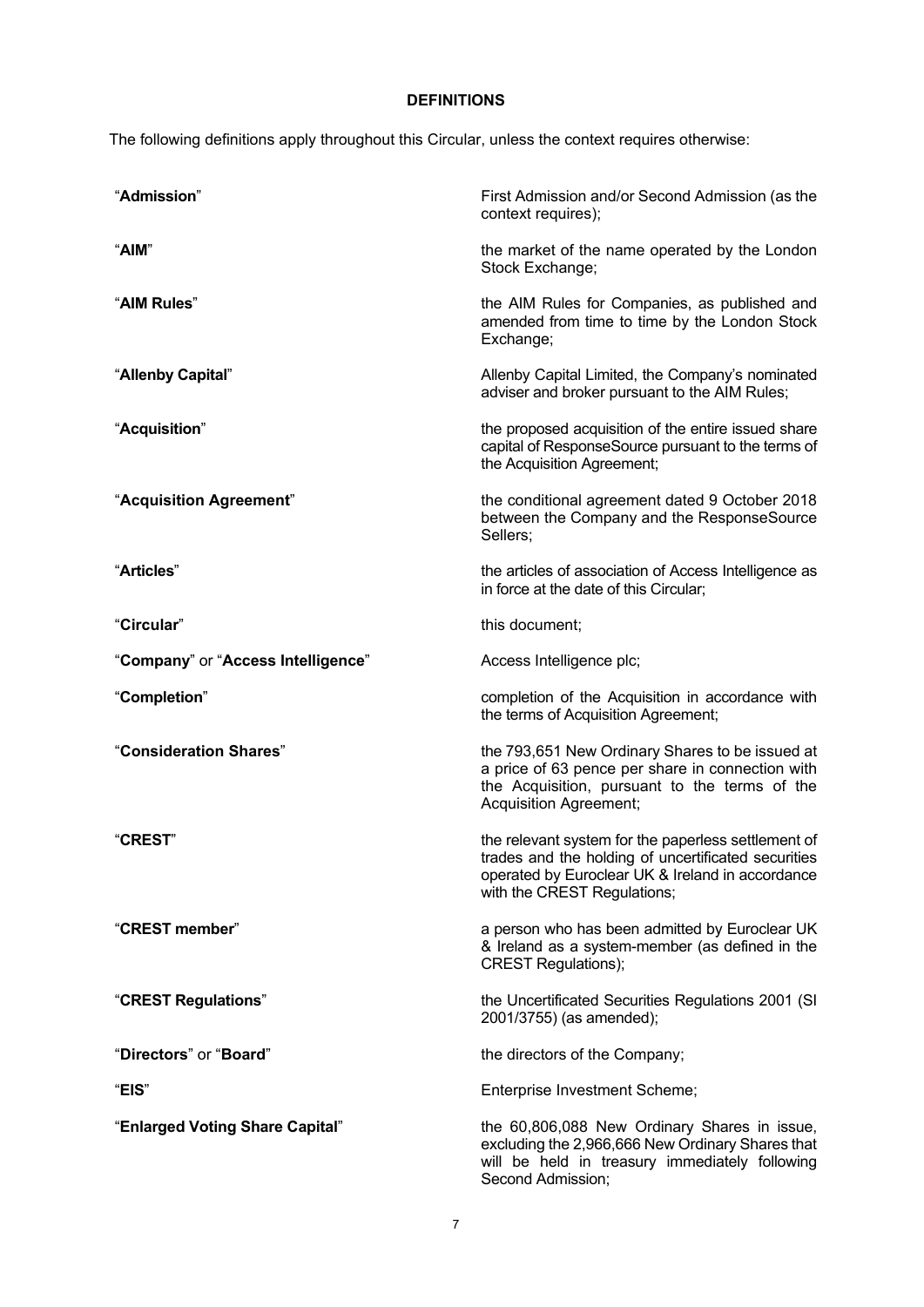# **DEFINITIONS**

The following definitions apply throughout this Circular, unless the context requires otherwise:

| "Admission"                        | First Admission and/or Second Admission (as the<br>context requires);                                                                                                                         |
|------------------------------------|-----------------------------------------------------------------------------------------------------------------------------------------------------------------------------------------------|
| "AIM"                              | the market of the name operated by the London<br>Stock Exchange;                                                                                                                              |
| "AIM Rules"                        | the AIM Rules for Companies, as published and<br>amended from time to time by the London Stock<br>Exchange;                                                                                   |
| "Allenby Capital"                  | Allenby Capital Limited, the Company's nominated<br>adviser and broker pursuant to the AIM Rules;                                                                                             |
| "Acquisition"                      | the proposed acquisition of the entire issued share<br>capital of ResponseSource pursuant to the terms of<br>the Acquisition Agreement;                                                       |
| "Acquisition Agreement"            | the conditional agreement dated 9 October 2018<br>between the Company and the ResponseSource<br>Sellers;                                                                                      |
| "Articles"                         | the articles of association of Access Intelligence as<br>in force at the date of this Circular;                                                                                               |
| "Circular"                         | this document;                                                                                                                                                                                |
| "Company" or "Access Intelligence" | Access Intelligence plc;                                                                                                                                                                      |
| "Completion"                       | completion of the Acquisition in accordance with<br>the terms of Acquisition Agreement;                                                                                                       |
| "Consideration Shares"             | the 793,651 New Ordinary Shares to be issued at<br>a price of 63 pence per share in connection with<br>the Acquisition, pursuant to the terms of the<br><b>Acquisition Agreement;</b>         |
| <b>"CREST"</b>                     | the relevant system for the paperless settlement of<br>trades and the holding of uncertificated securities<br>operated by Euroclear UK & Ireland in accordance<br>with the CREST Regulations; |
| "CREST member"                     | a person who has been admitted by Euroclear UK<br>& Ireland as a system-member (as defined in the<br><b>CREST Regulations);</b>                                                               |
| "CREST Regulations"                | the Uncertificated Securities Regulations 2001 (SI<br>2001/3755) (as amended);                                                                                                                |
| "Directors" or "Board"             | the directors of the Company;                                                                                                                                                                 |
| "EIS"                              | Enterprise Investment Scheme;                                                                                                                                                                 |
| "Enlarged Voting Share Capital"    | the 60,806,088 New Ordinary Shares in issue,<br>excluding the 2,966,666 New Ordinary Shares that<br>will be held in treasury immediately following<br>Second Admission;                       |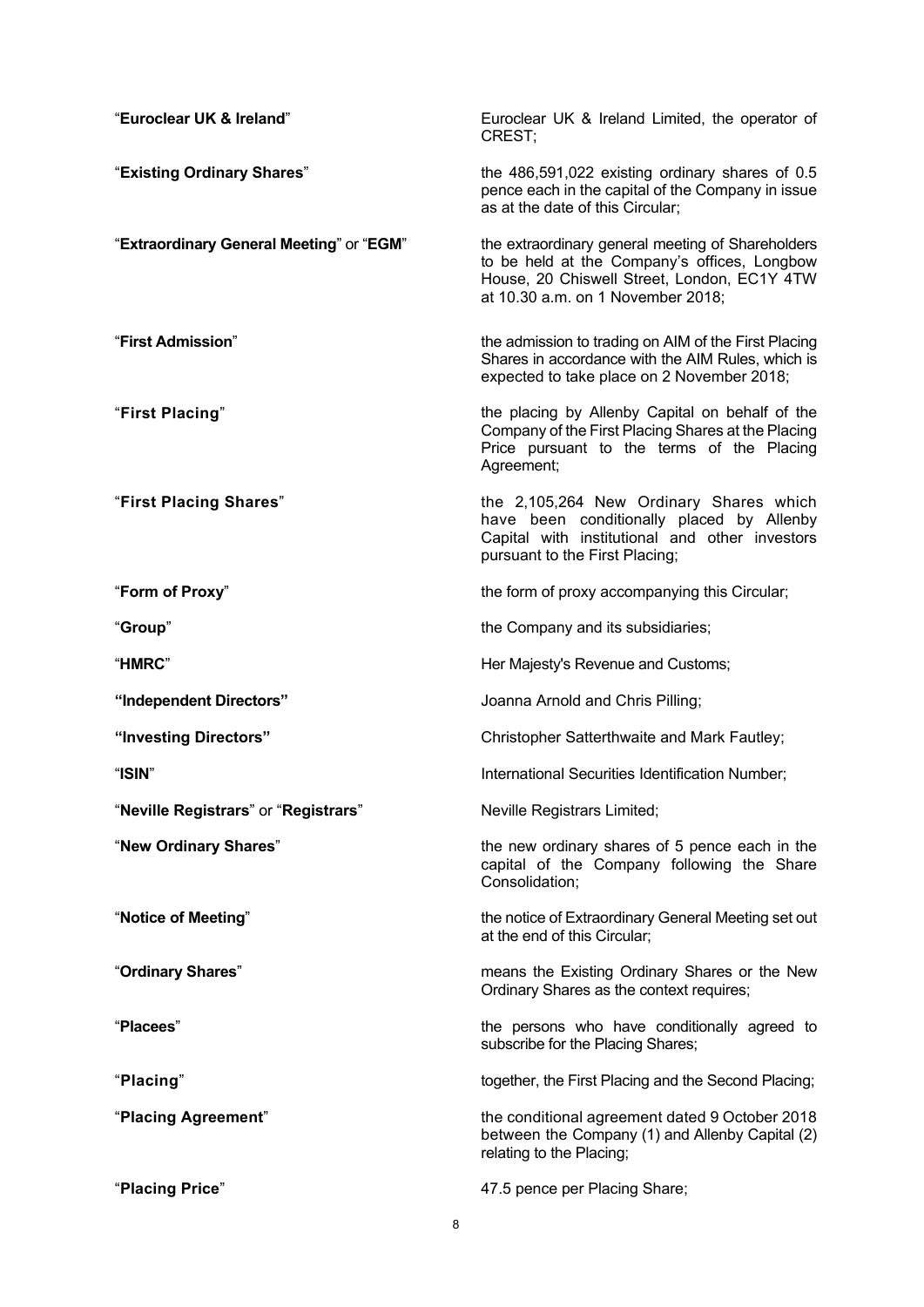| "Euroclear UK & Ireland"                 | Euroclear UK & Ireland Limited, the operator of<br>CREST:                                                                                                                             |
|------------------------------------------|---------------------------------------------------------------------------------------------------------------------------------------------------------------------------------------|
| "Existing Ordinary Shares"               | the 486,591,022 existing ordinary shares of 0.5<br>pence each in the capital of the Company in issue<br>as at the date of this Circular;                                              |
| "Extraordinary General Meeting" or "EGM" | the extraordinary general meeting of Shareholders<br>to be held at the Company's offices, Longbow<br>House, 20 Chiswell Street, London, EC1Y 4TW<br>at 10.30 a.m. on 1 November 2018; |
| "First Admission"                        | the admission to trading on AIM of the First Placing<br>Shares in accordance with the AIM Rules, which is<br>expected to take place on 2 November 2018;                               |
| "First Placing"                          | the placing by Allenby Capital on behalf of the<br>Company of the First Placing Shares at the Placing<br>Price pursuant to the terms of the Placing<br>Agreement;                     |
| "First Placing Shares"                   | the 2,105,264 New Ordinary Shares which<br>have been conditionally placed by Allenby<br>Capital with institutional and other investors<br>pursuant to the First Placing;              |
| "Form of Proxy"                          | the form of proxy accompanying this Circular;                                                                                                                                         |
| "Group"                                  | the Company and its subsidiaries;                                                                                                                                                     |
| "HMRC"                                   | Her Majesty's Revenue and Customs;                                                                                                                                                    |
| "Independent Directors"                  | Joanna Arnold and Chris Pilling;                                                                                                                                                      |
| "Investing Directors"                    | Christopher Satterthwaite and Mark Fautley;                                                                                                                                           |
| "ISIN"                                   | International Securities Identification Number;                                                                                                                                       |
| "Neville Registrars" or "Registrars"     | Neville Registrars Limited;                                                                                                                                                           |
| "New Ordinary Shares"                    | the new ordinary shares of 5 pence each in the<br>capital of the Company following the Share<br>Consolidation;                                                                        |
| "Notice of Meeting"                      | the notice of Extraordinary General Meeting set out<br>at the end of this Circular;                                                                                                   |
| "Ordinary Shares"                        | means the Existing Ordinary Shares or the New<br>Ordinary Shares as the context requires;                                                                                             |
| "Placees"                                | the persons who have conditionally agreed to<br>subscribe for the Placing Shares;                                                                                                     |
| "Placing"                                | together, the First Placing and the Second Placing;                                                                                                                                   |
| "Placing Agreement"                      | the conditional agreement dated 9 October 2018<br>between the Company (1) and Allenby Capital (2)<br>relating to the Placing;                                                         |
| "Placing Price"                          | 47.5 pence per Placing Share;                                                                                                                                                         |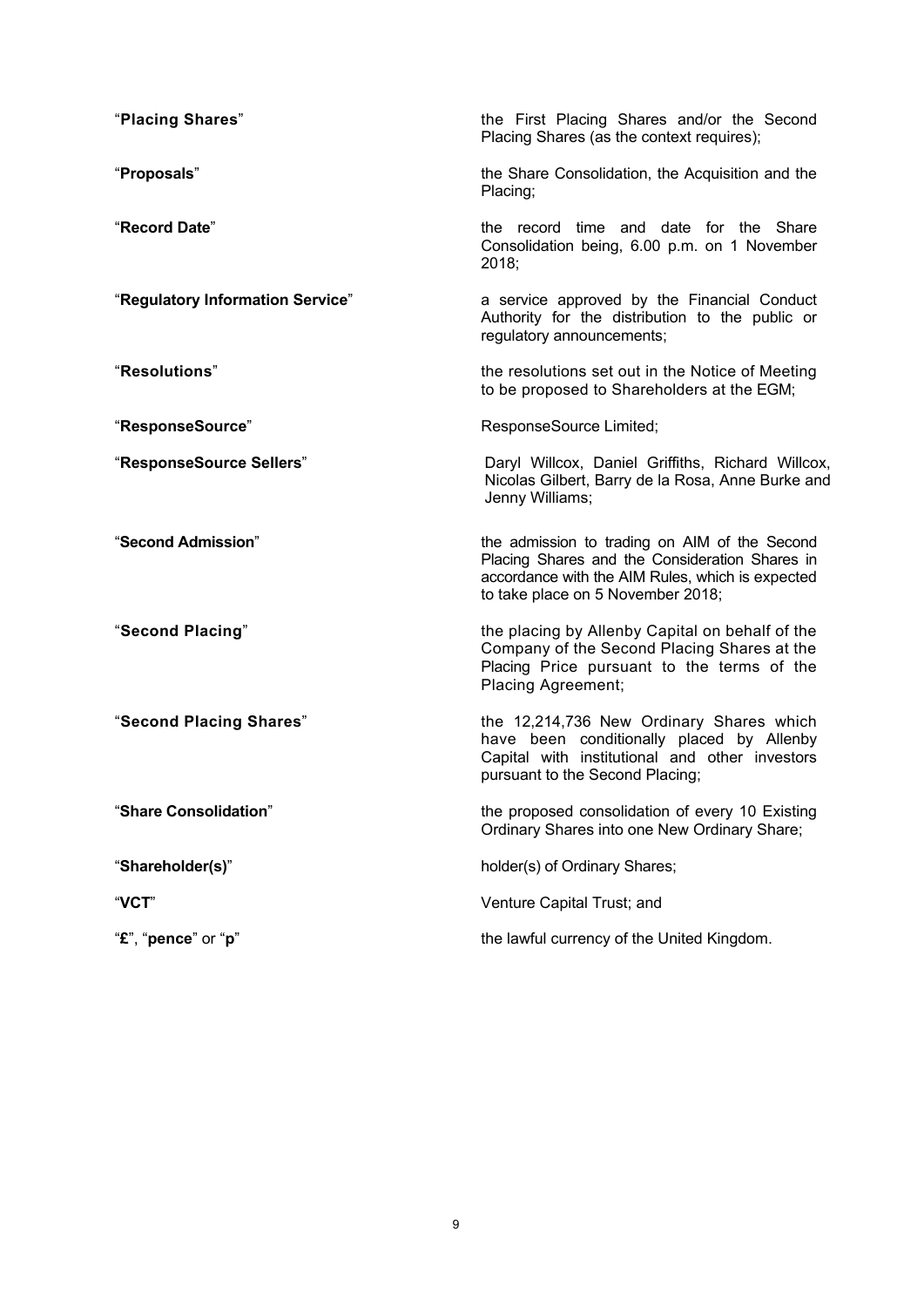| "Placing Shares"                 | the First Placing Shares and/or the Second<br>Placing Shares (as the context requires);                                                                                                  |
|----------------------------------|------------------------------------------------------------------------------------------------------------------------------------------------------------------------------------------|
| "Proposals"                      | the Share Consolidation, the Acquisition and the<br>Placing;                                                                                                                             |
| "Record Date"                    | the record time and date for the Share<br>Consolidation being, 6.00 p.m. on 1 November<br>2018;                                                                                          |
| "Regulatory Information Service" | a service approved by the Financial Conduct<br>Authority for the distribution to the public or<br>regulatory announcements;                                                              |
| "Resolutions"                    | the resolutions set out in the Notice of Meeting<br>to be proposed to Shareholders at the EGM;                                                                                           |
| "ResponseSource"                 | ResponseSource Limited;                                                                                                                                                                  |
| "ResponseSource Sellers"         | Daryl Willcox, Daniel Griffiths, Richard Willcox,<br>Nicolas Gilbert, Barry de la Rosa, Anne Burke and<br>Jenny Williams;                                                                |
| "Second Admission"               | the admission to trading on AIM of the Second<br>Placing Shares and the Consideration Shares in<br>accordance with the AIM Rules, which is expected<br>to take place on 5 November 2018; |
| "Second Placing"                 | the placing by Allenby Capital on behalf of the<br>Company of the Second Placing Shares at the<br>Placing Price pursuant to the terms of the<br>Placing Agreement;                       |
| "Second Placing Shares"          | the 12,214,736 New Ordinary Shares which<br>have been conditionally placed by Allenby<br>Capital with institutional and other investors<br>pursuant to the Second Placing;               |
| "Share Consolidation"            | the proposed consolidation of every 10 Existing<br>Ordinary Shares into one New Ordinary Share;                                                                                          |
| "Shareholder(s)"                 | holder(s) of Ordinary Shares;                                                                                                                                                            |
| "VCT"                            | Venture Capital Trust; and                                                                                                                                                               |
| "£", "pence" or "p"              | the lawful currency of the United Kingdom.                                                                                                                                               |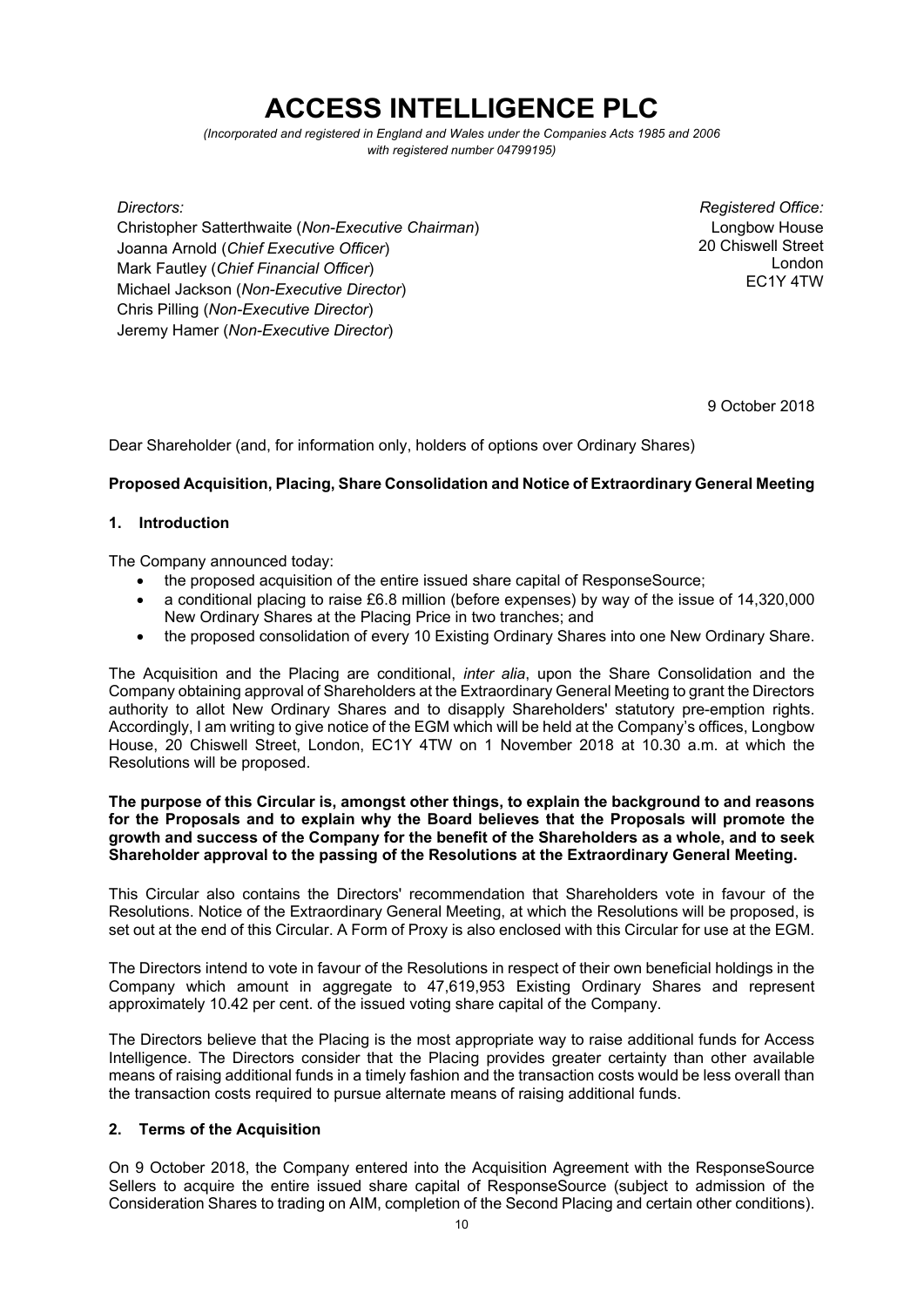# **ACCESS INTELLIGENCE PLC**

*(Incorporated and registered in England and Wales under the Companies Acts 1985 and 2006 with registered number 04799195)* 

Christopher Satterthwaite (*Non-Executive Chairman*) Joanna Arnold (*Chief Executive Officer*) Mark Fautley (*Chief Financial Officer*) Michael Jackson (*Non-Executive Director*) Chris Pilling (*Non-Executive Director*) Jeremy Hamer (*Non-Executive Director*)

*Directors: Registered Office:*  Longbow House 20 Chiswell Street London EC1Y 4TW

9 October 2018

Dear Shareholder (and, for information only, holders of options over Ordinary Shares)

# **Proposed Acquisition, Placing, Share Consolidation and Notice of Extraordinary General Meeting**

## **1. Introduction**

The Company announced today:

- the proposed acquisition of the entire issued share capital of ResponseSource;
- a conditional placing to raise £6.8 million (before expenses) by way of the issue of 14,320,000 New Ordinary Shares at the Placing Price in two tranches; and
- the proposed consolidation of every 10 Existing Ordinary Shares into one New Ordinary Share.

The Acquisition and the Placing are conditional, *inter alia*, upon the Share Consolidation and the Company obtaining approval of Shareholders at the Extraordinary General Meeting to grant the Directors authority to allot New Ordinary Shares and to disapply Shareholders' statutory pre-emption rights. Accordingly, I am writing to give notice of the EGM which will be held at the Company's offices, Longbow House, 20 Chiswell Street, London, EC1Y 4TW on 1 November 2018 at 10.30 a.m. at which the Resolutions will be proposed.

## **The purpose of this Circular is, amongst other things, to explain the background to and reasons for the Proposals and to explain why the Board believes that the Proposals will promote the growth and success of the Company for the benefit of the Shareholders as a whole, and to seek Shareholder approval to the passing of the Resolutions at the Extraordinary General Meeting.**

This Circular also contains the Directors' recommendation that Shareholders vote in favour of the Resolutions. Notice of the Extraordinary General Meeting, at which the Resolutions will be proposed, is set out at the end of this Circular. A Form of Proxy is also enclosed with this Circular for use at the EGM.

The Directors intend to vote in favour of the Resolutions in respect of their own beneficial holdings in the Company which amount in aggregate to 47,619,953 Existing Ordinary Shares and represent approximately 10.42 per cent. of the issued voting share capital of the Company.

The Directors believe that the Placing is the most appropriate way to raise additional funds for Access Intelligence. The Directors consider that the Placing provides greater certainty than other available means of raising additional funds in a timely fashion and the transaction costs would be less overall than the transaction costs required to pursue alternate means of raising additional funds.

## **2. Terms of the Acquisition**

On 9 October 2018, the Company entered into the Acquisition Agreement with the ResponseSource Sellers to acquire the entire issued share capital of ResponseSource (subject to admission of the Consideration Shares to trading on AIM, completion of the Second Placing and certain other conditions).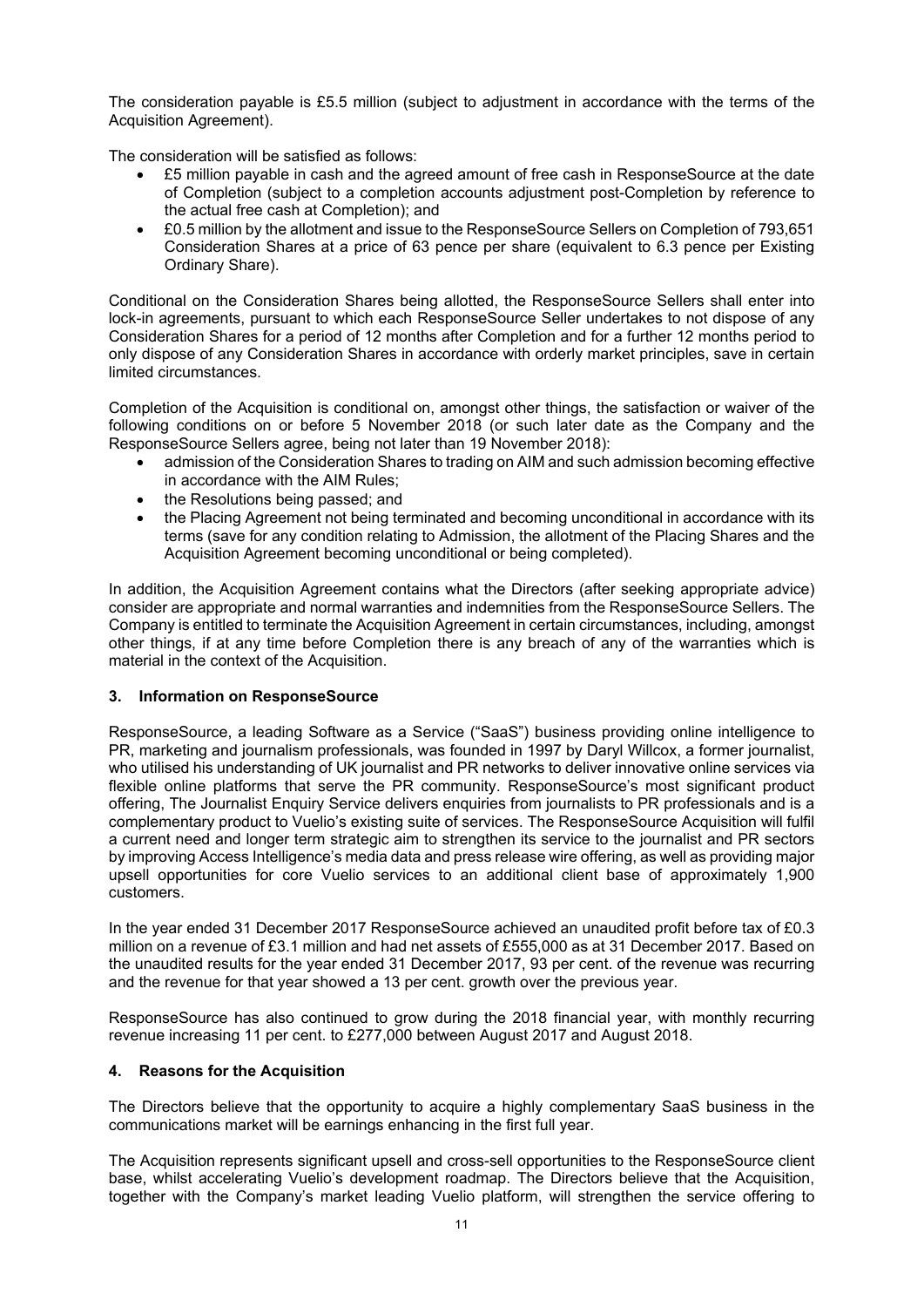The consideration payable is £5.5 million (subject to adjustment in accordance with the terms of the Acquisition Agreement).

The consideration will be satisfied as follows:

- £5 million payable in cash and the agreed amount of free cash in ResponseSource at the date of Completion (subject to a completion accounts adjustment post-Completion by reference to the actual free cash at Completion); and
- £0.5 million by the allotment and issue to the ResponseSource Sellers on Completion of 793,651 Consideration Shares at a price of 63 pence per share (equivalent to 6.3 pence per Existing Ordinary Share).

Conditional on the Consideration Shares being allotted, the ResponseSource Sellers shall enter into lock-in agreements, pursuant to which each ResponseSource Seller undertakes to not dispose of any Consideration Shares for a period of 12 months after Completion and for a further 12 months period to only dispose of any Consideration Shares in accordance with orderly market principles, save in certain limited circumstances.

Completion of the Acquisition is conditional on, amongst other things, the satisfaction or waiver of the following conditions on or before 5 November 2018 (or such later date as the Company and the ResponseSource Sellers agree, being not later than 19 November 2018):

- admission of the Consideration Shares to trading on AIM and such admission becoming effective in accordance with the AIM Rules;
- the Resolutions being passed; and
- the Placing Agreement not being terminated and becoming unconditional in accordance with its terms (save for any condition relating to Admission, the allotment of the Placing Shares and the Acquisition Agreement becoming unconditional or being completed).

In addition, the Acquisition Agreement contains what the Directors (after seeking appropriate advice) consider are appropriate and normal warranties and indemnities from the ResponseSource Sellers. The Company is entitled to terminate the Acquisition Agreement in certain circumstances, including, amongst other things, if at any time before Completion there is any breach of any of the warranties which is material in the context of the Acquisition.

## **3. Information on ResponseSource**

ResponseSource, a leading Software as a Service ("SaaS") business providing online intelligence to PR, marketing and journalism professionals, was founded in 1997 by Daryl Willcox, a former journalist, who utilised his understanding of UK journalist and PR networks to deliver innovative online services via flexible online platforms that serve the PR community. ResponseSource's most significant product offering, The Journalist Enquiry Service delivers enquiries from journalists to PR professionals and is a complementary product to Vuelio's existing suite of services. The ResponseSource Acquisition will fulfil a current need and longer term strategic aim to strengthen its service to the journalist and PR sectors by improving Access Intelligence's media data and press release wire offering, as well as providing major upsell opportunities for core Vuelio services to an additional client base of approximately 1,900 customers.

In the year ended 31 December 2017 ResponseSource achieved an unaudited profit before tax of £0.3 million on a revenue of £3.1 million and had net assets of £555,000 as at 31 December 2017. Based on the unaudited results for the year ended 31 December 2017, 93 per cent. of the revenue was recurring and the revenue for that year showed a 13 per cent. growth over the previous year.

ResponseSource has also continued to grow during the 2018 financial year, with monthly recurring revenue increasing 11 per cent. to £277,000 between August 2017 and August 2018.

## **4. Reasons for the Acquisition**

The Directors believe that the opportunity to acquire a highly complementary SaaS business in the communications market will be earnings enhancing in the first full year.

The Acquisition represents significant upsell and cross-sell opportunities to the ResponseSource client base, whilst accelerating Vuelio's development roadmap. The Directors believe that the Acquisition, together with the Company's market leading Vuelio platform, will strengthen the service offering to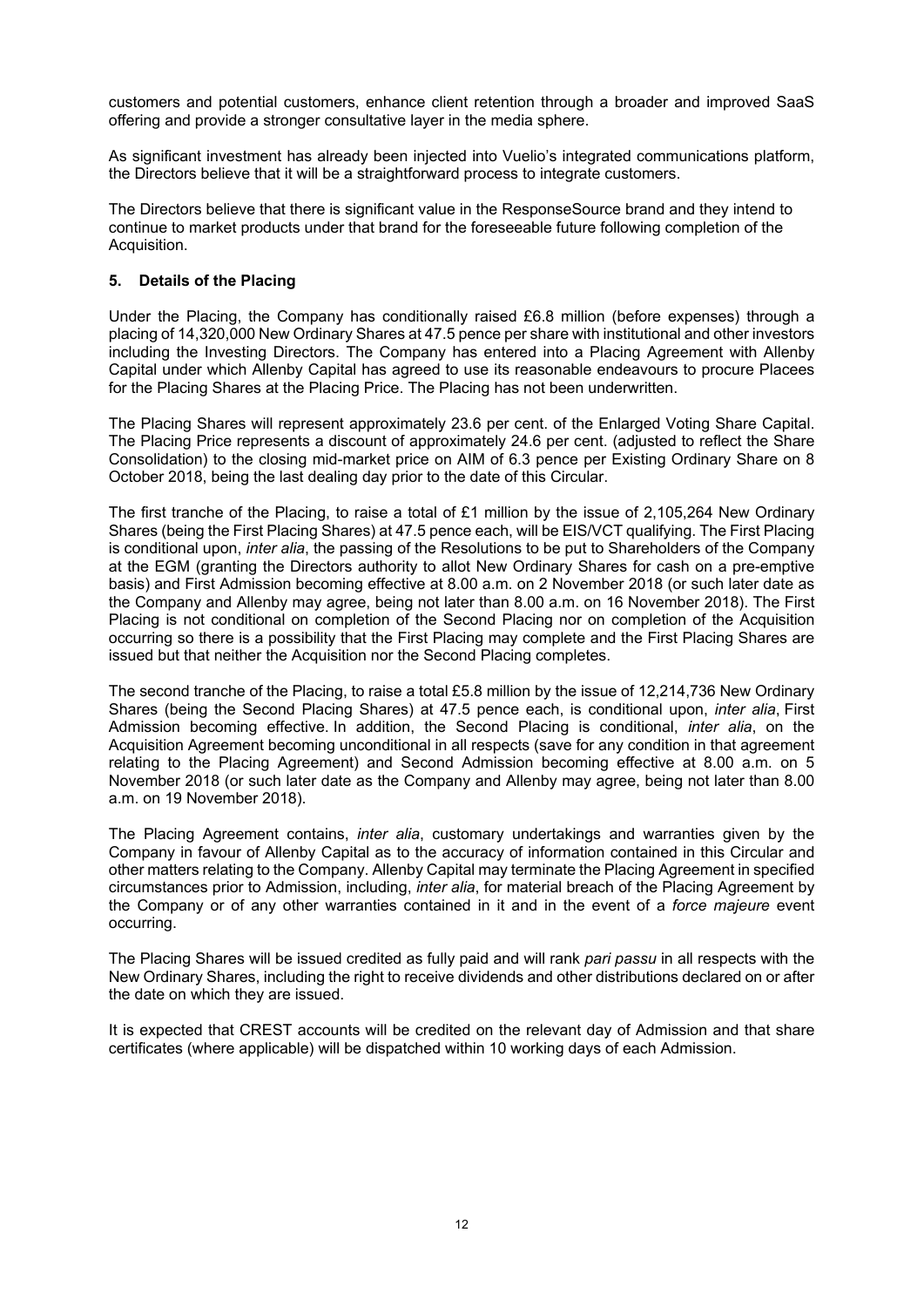customers and potential customers, enhance client retention through a broader and improved SaaS offering and provide a stronger consultative layer in the media sphere.

As significant investment has already been injected into Vuelio's integrated communications platform, the Directors believe that it will be a straightforward process to integrate customers.

The Directors believe that there is significant value in the ResponseSource brand and they intend to continue to market products under that brand for the foreseeable future following completion of the Acquisition.

## **5. Details of the Placing**

Under the Placing, the Company has conditionally raised £6.8 million (before expenses) through a placing of 14,320,000 New Ordinary Shares at 47.5 pence per share with institutional and other investors including the Investing Directors. The Company has entered into a Placing Agreement with Allenby Capital under which Allenby Capital has agreed to use its reasonable endeavours to procure Placees for the Placing Shares at the Placing Price. The Placing has not been underwritten.

The Placing Shares will represent approximately 23.6 per cent. of the Enlarged Voting Share Capital. The Placing Price represents a discount of approximately 24.6 per cent. (adjusted to reflect the Share Consolidation) to the closing mid-market price on AIM of 6.3 pence per Existing Ordinary Share on 8 October 2018, being the last dealing day prior to the date of this Circular.

The first tranche of the Placing, to raise a total of £1 million by the issue of 2,105,264 New Ordinary Shares (being the First Placing Shares) at 47.5 pence each, will be EIS/VCT qualifying. The First Placing is conditional upon, *inter alia*, the passing of the Resolutions to be put to Shareholders of the Company at the EGM (granting the Directors authority to allot New Ordinary Shares for cash on a pre-emptive basis) and First Admission becoming effective at 8.00 a.m. on 2 November 2018 (or such later date as the Company and Allenby may agree, being not later than 8.00 a.m. on 16 November 2018). The First Placing is not conditional on completion of the Second Placing nor on completion of the Acquisition occurring so there is a possibility that the First Placing may complete and the First Placing Shares are issued but that neither the Acquisition nor the Second Placing completes.

The second tranche of the Placing, to raise a total £5.8 million by the issue of 12,214,736 New Ordinary Shares (being the Second Placing Shares) at 47.5 pence each, is conditional upon, *inter alia*, First Admission becoming effective. In addition, the Second Placing is conditional, *inter alia*, on the Acquisition Agreement becoming unconditional in all respects (save for any condition in that agreement relating to the Placing Agreement) and Second Admission becoming effective at 8.00 a.m. on 5 November 2018 (or such later date as the Company and Allenby may agree, being not later than 8.00 a.m. on 19 November 2018).

The Placing Agreement contains, *inter alia*, customary undertakings and warranties given by the Company in favour of Allenby Capital as to the accuracy of information contained in this Circular and other matters relating to the Company. Allenby Capital may terminate the Placing Agreement in specified circumstances prior to Admission, including, *inter alia*, for material breach of the Placing Agreement by the Company or of any other warranties contained in it and in the event of a *force majeure* event occurring.

The Placing Shares will be issued credited as fully paid and will rank *pari passu* in all respects with the New Ordinary Shares, including the right to receive dividends and other distributions declared on or after the date on which they are issued.

It is expected that CREST accounts will be credited on the relevant day of Admission and that share certificates (where applicable) will be dispatched within 10 working days of each Admission.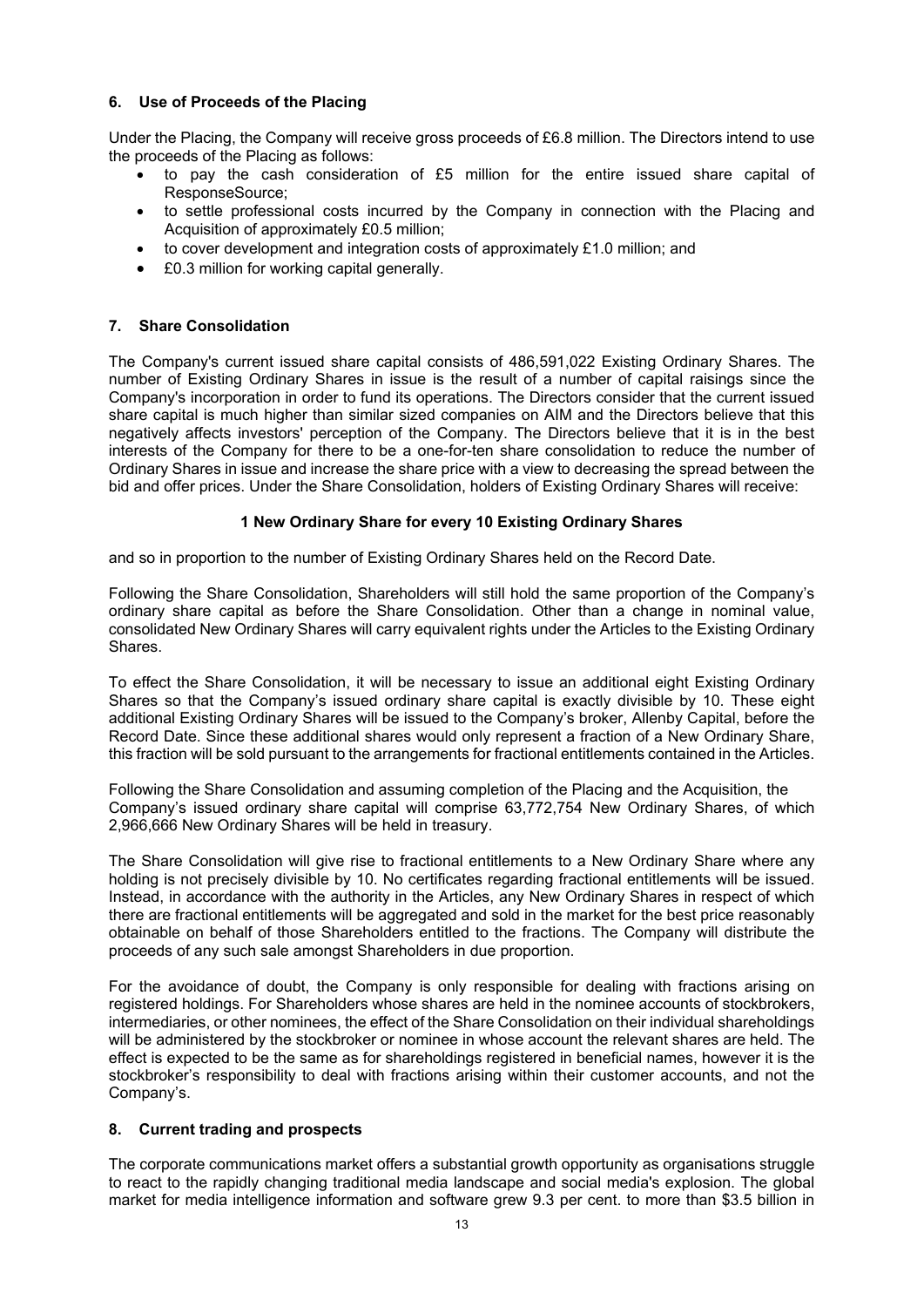## **6. Use of Proceeds of the Placing**

Under the Placing, the Company will receive gross proceeds of £6.8 million. The Directors intend to use the proceeds of the Placing as follows:

- to pay the cash consideration of £5 million for the entire issued share capital of ResponseSource;
- to settle professional costs incurred by the Company in connection with the Placing and Acquisition of approximately £0.5 million;
- $\bullet$  to cover development and integration costs of approximately £1.0 million; and
- £0.3 million for working capital generally.

# **7. Share Consolidation**

The Company's current issued share capital consists of 486,591,022 Existing Ordinary Shares. The number of Existing Ordinary Shares in issue is the result of a number of capital raisings since the Company's incorporation in order to fund its operations. The Directors consider that the current issued share capital is much higher than similar sized companies on AIM and the Directors believe that this negatively affects investors' perception of the Company. The Directors believe that it is in the best interests of the Company for there to be a one-for-ten share consolidation to reduce the number of Ordinary Shares in issue and increase the share price with a view to decreasing the spread between the bid and offer prices. Under the Share Consolidation, holders of Existing Ordinary Shares will receive:

# **1 New Ordinary Share for every 10 Existing Ordinary Shares**

and so in proportion to the number of Existing Ordinary Shares held on the Record Date.

Following the Share Consolidation, Shareholders will still hold the same proportion of the Company's ordinary share capital as before the Share Consolidation. Other than a change in nominal value, consolidated New Ordinary Shares will carry equivalent rights under the Articles to the Existing Ordinary Shares.

To effect the Share Consolidation, it will be necessary to issue an additional eight Existing Ordinary Shares so that the Company's issued ordinary share capital is exactly divisible by 10. These eight additional Existing Ordinary Shares will be issued to the Company's broker, Allenby Capital, before the Record Date. Since these additional shares would only represent a fraction of a New Ordinary Share, this fraction will be sold pursuant to the arrangements for fractional entitlements contained in the Articles.

Following the Share Consolidation and assuming completion of the Placing and the Acquisition, the Company's issued ordinary share capital will comprise 63,772,754 New Ordinary Shares, of which 2,966,666 New Ordinary Shares will be held in treasury.

The Share Consolidation will give rise to fractional entitlements to a New Ordinary Share where any holding is not precisely divisible by 10. No certificates regarding fractional entitlements will be issued. Instead, in accordance with the authority in the Articles, any New Ordinary Shares in respect of which there are fractional entitlements will be aggregated and sold in the market for the best price reasonably obtainable on behalf of those Shareholders entitled to the fractions. The Company will distribute the proceeds of any such sale amongst Shareholders in due proportion.

For the avoidance of doubt, the Company is only responsible for dealing with fractions arising on registered holdings. For Shareholders whose shares are held in the nominee accounts of stockbrokers, intermediaries, or other nominees, the effect of the Share Consolidation on their individual shareholdings will be administered by the stockbroker or nominee in whose account the relevant shares are held. The effect is expected to be the same as for shareholdings registered in beneficial names, however it is the stockbroker's responsibility to deal with fractions arising within their customer accounts, and not the Company's.

## **8. Current trading and prospects**

The corporate communications market offers a substantial growth opportunity as organisations struggle to react to the rapidly changing traditional media landscape and social media's explosion. The global market for media intelligence information and software grew 9.3 per cent. to more than \$3.5 billion in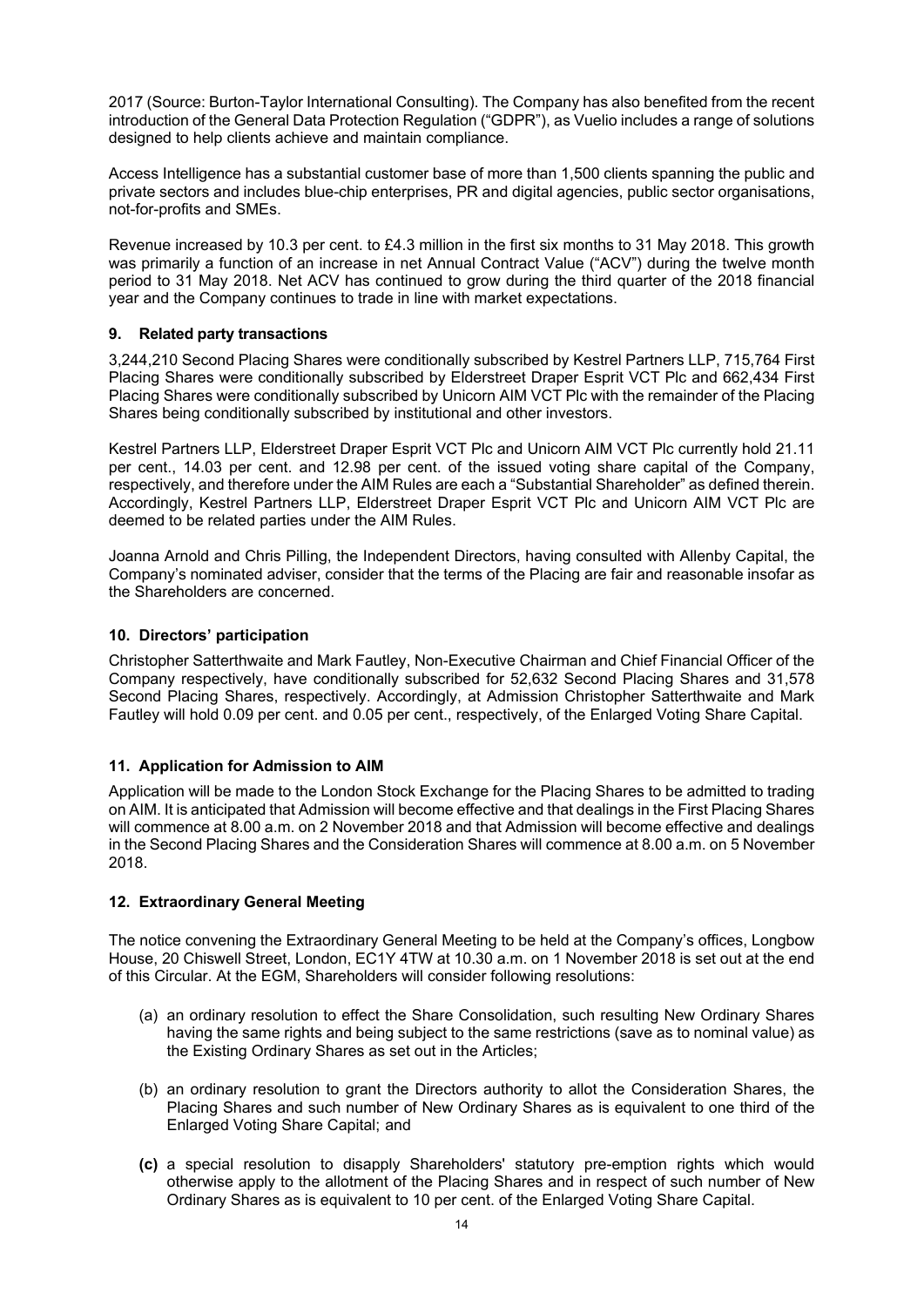2017 (Source: Burton-Taylor International Consulting). The Company has also benefited from the recent introduction of the General Data Protection Regulation ("GDPR"), as Vuelio includes a range of solutions designed to help clients achieve and maintain compliance.

Access Intelligence has a substantial customer base of more than 1,500 clients spanning the public and private sectors and includes blue-chip enterprises, PR and digital agencies, public sector organisations, not-for-profits and SMEs.

Revenue increased by 10.3 per cent. to £4.3 million in the first six months to 31 May 2018. This growth was primarily a function of an increase in net Annual Contract Value ("ACV") during the twelve month period to 31 May 2018. Net ACV has continued to grow during the third quarter of the 2018 financial year and the Company continues to trade in line with market expectations.

## **9. Related party transactions**

3,244,210 Second Placing Shares were conditionally subscribed by Kestrel Partners LLP, 715,764 First Placing Shares were conditionally subscribed by Elderstreet Draper Esprit VCT Plc and 662,434 First Placing Shares were conditionally subscribed by Unicorn AIM VCT Plc with the remainder of the Placing Shares being conditionally subscribed by institutional and other investors.

Kestrel Partners LLP, Elderstreet Draper Esprit VCT Plc and Unicorn AIM VCT Plc currently hold 21.11 per cent., 14.03 per cent. and 12.98 per cent. of the issued voting share capital of the Company, respectively, and therefore under the AIM Rules are each a "Substantial Shareholder" as defined therein. Accordingly, Kestrel Partners LLP, Elderstreet Draper Esprit VCT Plc and Unicorn AIM VCT Plc are deemed to be related parties under the AIM Rules.

Joanna Arnold and Chris Pilling, the Independent Directors, having consulted with Allenby Capital, the Company's nominated adviser, consider that the terms of the Placing are fair and reasonable insofar as the Shareholders are concerned.

## **10. Directors' participation**

Christopher Satterthwaite and Mark Fautley, Non-Executive Chairman and Chief Financial Officer of the Company respectively, have conditionally subscribed for 52,632 Second Placing Shares and 31,578 Second Placing Shares, respectively. Accordingly, at Admission Christopher Satterthwaite and Mark Fautley will hold 0.09 per cent. and 0.05 per cent., respectively, of the Enlarged Voting Share Capital.

## **11. Application for Admission to AIM**

Application will be made to the London Stock Exchange for the Placing Shares to be admitted to trading on AIM. It is anticipated that Admission will become effective and that dealings in the First Placing Shares will commence at 8.00 a.m. on 2 November 2018 and that Admission will become effective and dealings in the Second Placing Shares and the Consideration Shares will commence at 8.00 a.m. on 5 November 2018.

## **12. Extraordinary General Meeting**

The notice convening the Extraordinary General Meeting to be held at the Company's offices, Longbow House, 20 Chiswell Street, London, EC1Y 4TW at 10.30 a.m. on 1 November 2018 is set out at the end of this Circular. At the EGM, Shareholders will consider following resolutions:

- (a) an ordinary resolution to effect the Share Consolidation, such resulting New Ordinary Shares having the same rights and being subject to the same restrictions (save as to nominal value) as the Existing Ordinary Shares as set out in the Articles;
- (b) an ordinary resolution to grant the Directors authority to allot the Consideration Shares, the Placing Shares and such number of New Ordinary Shares as is equivalent to one third of the Enlarged Voting Share Capital; and
- **(c)** a special resolution to disapply Shareholders' statutory pre-emption rights which would otherwise apply to the allotment of the Placing Shares and in respect of such number of New Ordinary Shares as is equivalent to 10 per cent. of the Enlarged Voting Share Capital.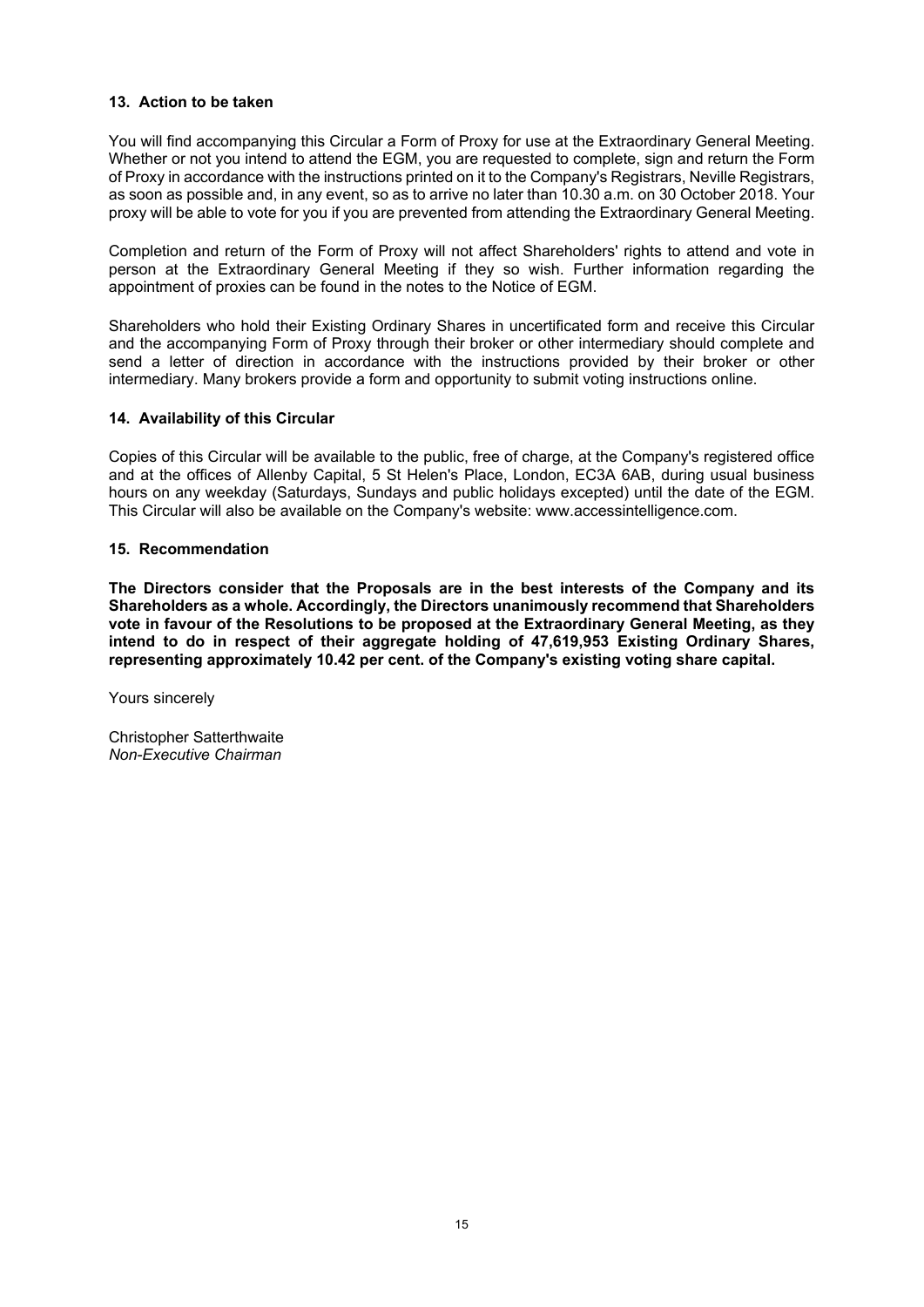## **13. Action to be taken**

You will find accompanying this Circular a Form of Proxy for use at the Extraordinary General Meeting. Whether or not you intend to attend the EGM, you are requested to complete, sign and return the Form of Proxy in accordance with the instructions printed on it to the Company's Registrars, Neville Registrars, as soon as possible and, in any event, so as to arrive no later than 10.30 a.m. on 30 October 2018. Your proxy will be able to vote for you if you are prevented from attending the Extraordinary General Meeting.

Completion and return of the Form of Proxy will not affect Shareholders' rights to attend and vote in person at the Extraordinary General Meeting if they so wish. Further information regarding the appointment of proxies can be found in the notes to the Notice of EGM.

Shareholders who hold their Existing Ordinary Shares in uncertificated form and receive this Circular and the accompanying Form of Proxy through their broker or other intermediary should complete and send a letter of direction in accordance with the instructions provided by their broker or other intermediary. Many brokers provide a form and opportunity to submit voting instructions online.

## **14. Availability of this Circular**

Copies of this Circular will be available to the public, free of charge, at the Company's registered office and at the offices of Allenby Capital, 5 St Helen's Place, London, EC3A 6AB, during usual business hours on any weekday (Saturdays, Sundays and public holidays excepted) until the date of the EGM. This Circular will also be available on the Company's website: www.accessintelligence.com.

## **15. Recommendation**

**The Directors consider that the Proposals are in the best interests of the Company and its Shareholders as a whole. Accordingly, the Directors unanimously recommend that Shareholders vote in favour of the Resolutions to be proposed at the Extraordinary General Meeting, as they intend to do in respect of their aggregate holding of 47,619,953 Existing Ordinary Shares, representing approximately 10.42 per cent. of the Company's existing voting share capital.** 

Yours sincerely

Christopher Satterthwaite *Non-Executive Chairman*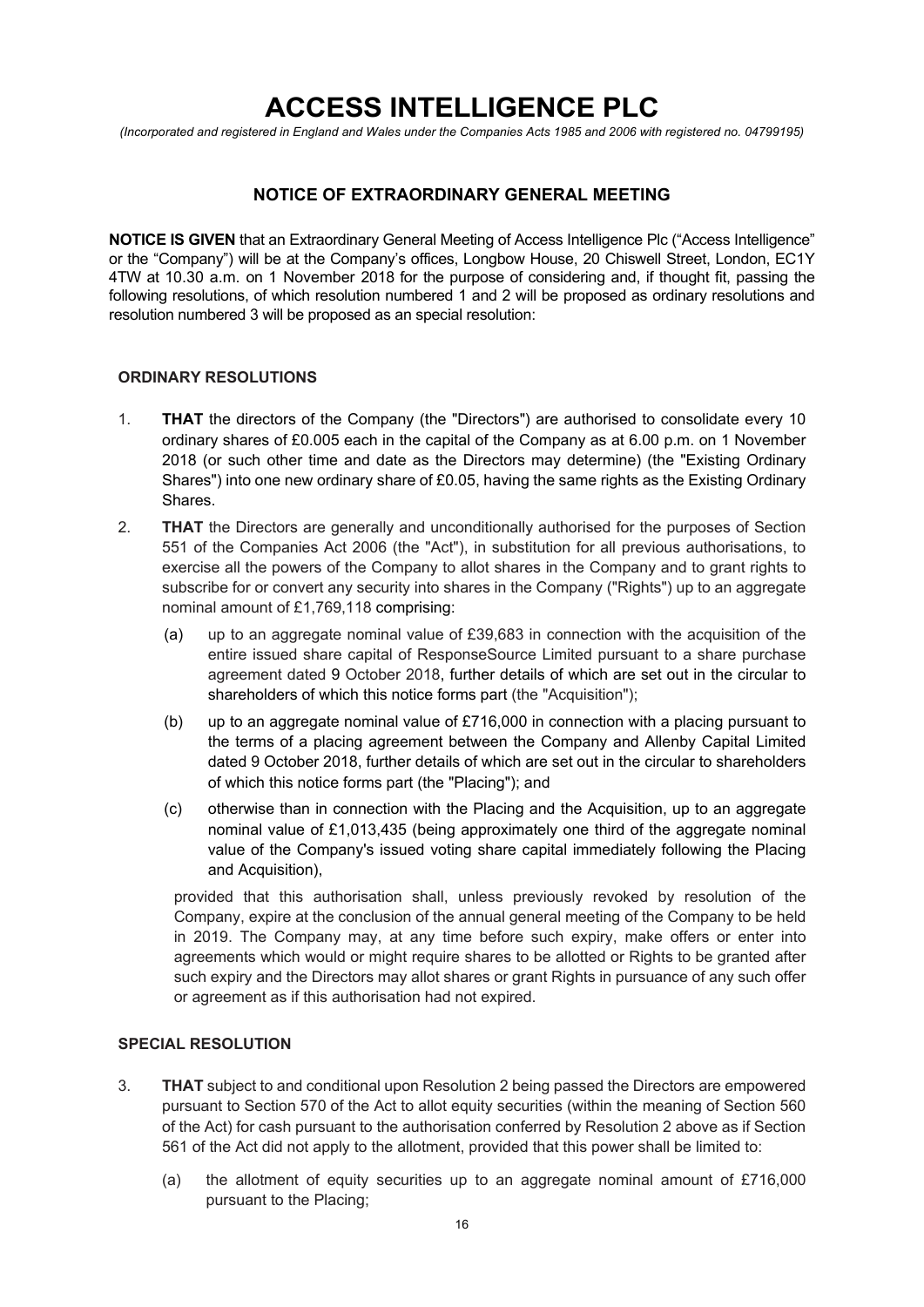# **ACCESS INTELLIGENCE PLC**

*(Incorporated and registered in England and Wales under the Companies Acts 1985 and 2006 with registered no. 04799195)* 

# **NOTICE OF EXTRAORDINARY GENERAL MEETING**

**NOTICE IS GIVEN** that an Extraordinary General Meeting of Access Intelligence Plc ("Access Intelligence" or the "Company") will be at the Company's offices, Longbow House, 20 Chiswell Street, London, EC1Y 4TW at 10.30 a.m. on 1 November 2018 for the purpose of considering and, if thought fit, passing the following resolutions, of which resolution numbered 1 and 2 will be proposed as ordinary resolutions and resolution numbered 3 will be proposed as an special resolution:

## **ORDINARY RESOLUTIONS**

- 1. **THAT** the directors of the Company (the "Directors") are authorised to consolidate every 10 ordinary shares of £0.005 each in the capital of the Company as at 6.00 p.m. on 1 November 2018 (or such other time and date as the Directors may determine) (the "Existing Ordinary Shares") into one new ordinary share of £0.05, having the same rights as the Existing Ordinary Shares.
- 2. **THAT** the Directors are generally and unconditionally authorised for the purposes of Section 551 of the Companies Act 2006 (the "Act"), in substitution for all previous authorisations, to exercise all the powers of the Company to allot shares in the Company and to grant rights to subscribe for or convert any security into shares in the Company ("Rights") up to an aggregate nominal amount of £1,769,118 comprising:
	- (a) up to an aggregate nominal value of £39,683 in connection with the acquisition of the entire issued share capital of ResponseSource Limited pursuant to a share purchase agreement dated 9 October 2018, further details of which are set out in the circular to shareholders of which this notice forms part (the "Acquisition");
	- (b) up to an aggregate nominal value of £716,000 in connection with a placing pursuant to the terms of a placing agreement between the Company and Allenby Capital Limited dated 9 October 2018, further details of which are set out in the circular to shareholders of which this notice forms part (the "Placing"); and
	- (c) otherwise than in connection with the Placing and the Acquisition, up to an aggregate nominal value of £1,013,435 (being approximately one third of the aggregate nominal value of the Company's issued voting share capital immediately following the Placing and Acquisition),

provided that this authorisation shall, unless previously revoked by resolution of the Company, expire at the conclusion of the annual general meeting of the Company to be held in 2019. The Company may, at any time before such expiry, make offers or enter into agreements which would or might require shares to be allotted or Rights to be granted after such expiry and the Directors may allot shares or grant Rights in pursuance of any such offer or agreement as if this authorisation had not expired.

# **SPECIAL RESOLUTION**

- 3. **THAT** subject to and conditional upon Resolution 2 being passed the Directors are empowered pursuant to Section 570 of the Act to allot equity securities (within the meaning of Section 560 of the Act) for cash pursuant to the authorisation conferred by Resolution 2 above as if Section 561 of the Act did not apply to the allotment, provided that this power shall be limited to:
	- (a) the allotment of equity securities up to an aggregate nominal amount of £716,000 pursuant to the Placing;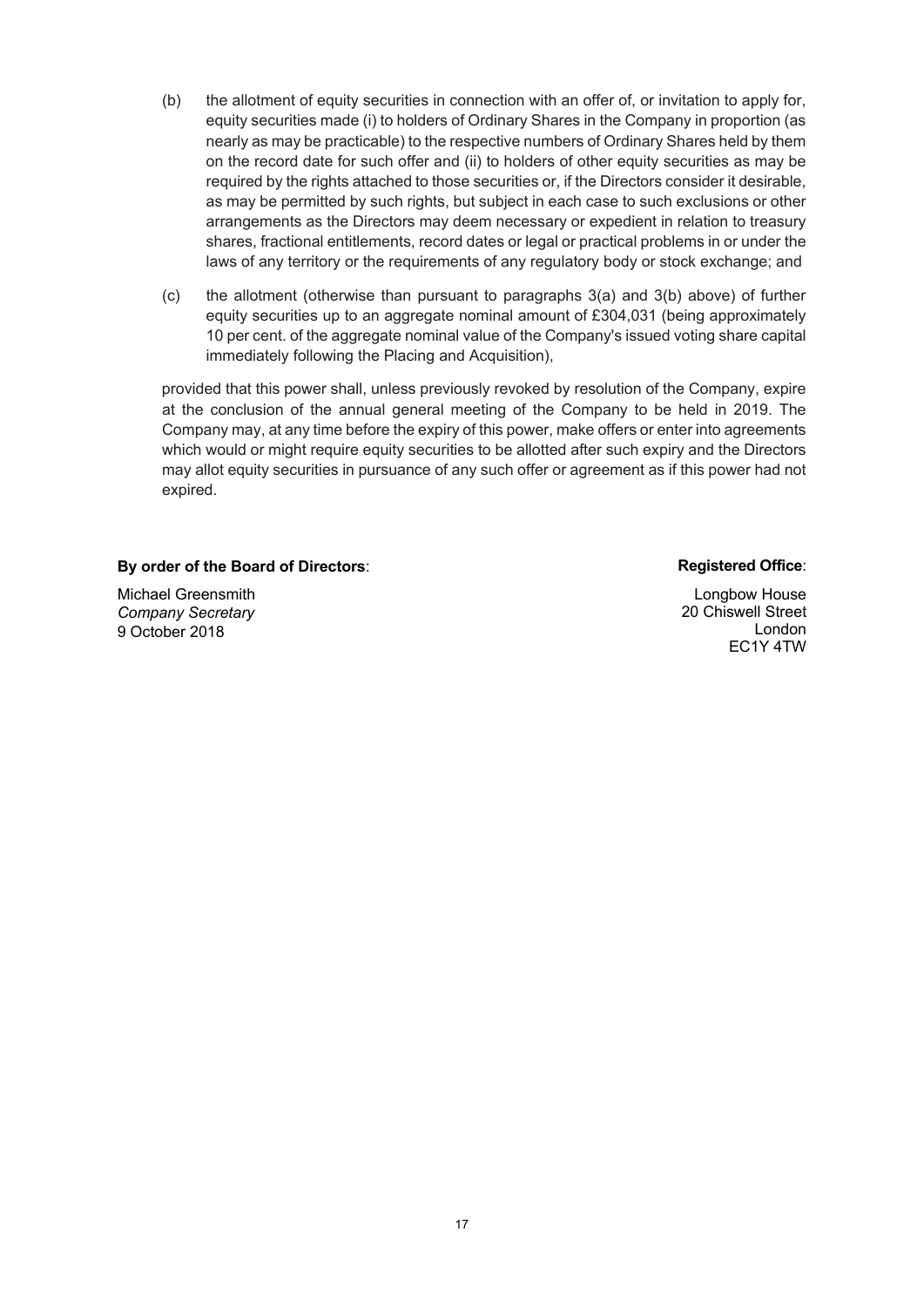- (b) the allotment of equity securities in connection with an offer of, or invitation to apply for, equity securities made (i) to holders of Ordinary Shares in the Company in proportion (as nearly as may be practicable) to the respective numbers of Ordinary Shares held by them on the record date for such offer and (ii) to holders of other equity securities as may be required by the rights attached to those securities or, if the Directors consider it desirable, as may be permitted by such rights, but subject in each case to such exclusions or other arrangements as the Directors may deem necessary or expedient in relation to treasury shares, fractional entitlements, record dates or legal or practical problems in or under the laws of any territory or the requirements of any regulatory body or stock exchange; and
- (c) the allotment (otherwise than pursuant to paragraphs 3(a) and 3(b) above) of further equity securities up to an aggregate nominal amount of £304,031 (being approximately 10 per cent. of the aggregate nominal value of the Company's issued voting share capital immediately following the Placing and Acquisition),

provided that this power shall, unless previously revoked by resolution of the Company, expire at the conclusion of the annual general meeting of the Company to be held in 2019. The Company may, at any time before the expiry of this power, make offers or enter into agreements which would or might require equity securities to be allotted after such expiry and the Directors may allot equity securities in pursuance of any such offer or agreement as if this power had not expired.

## **By order of the Board of Directors: Registered Office: Registered Office: Registered Office:**

Michael Greensmith *Company Secretary*  9 October 2018

Longbow House 20 Chiswell Street London EC1Y 4TW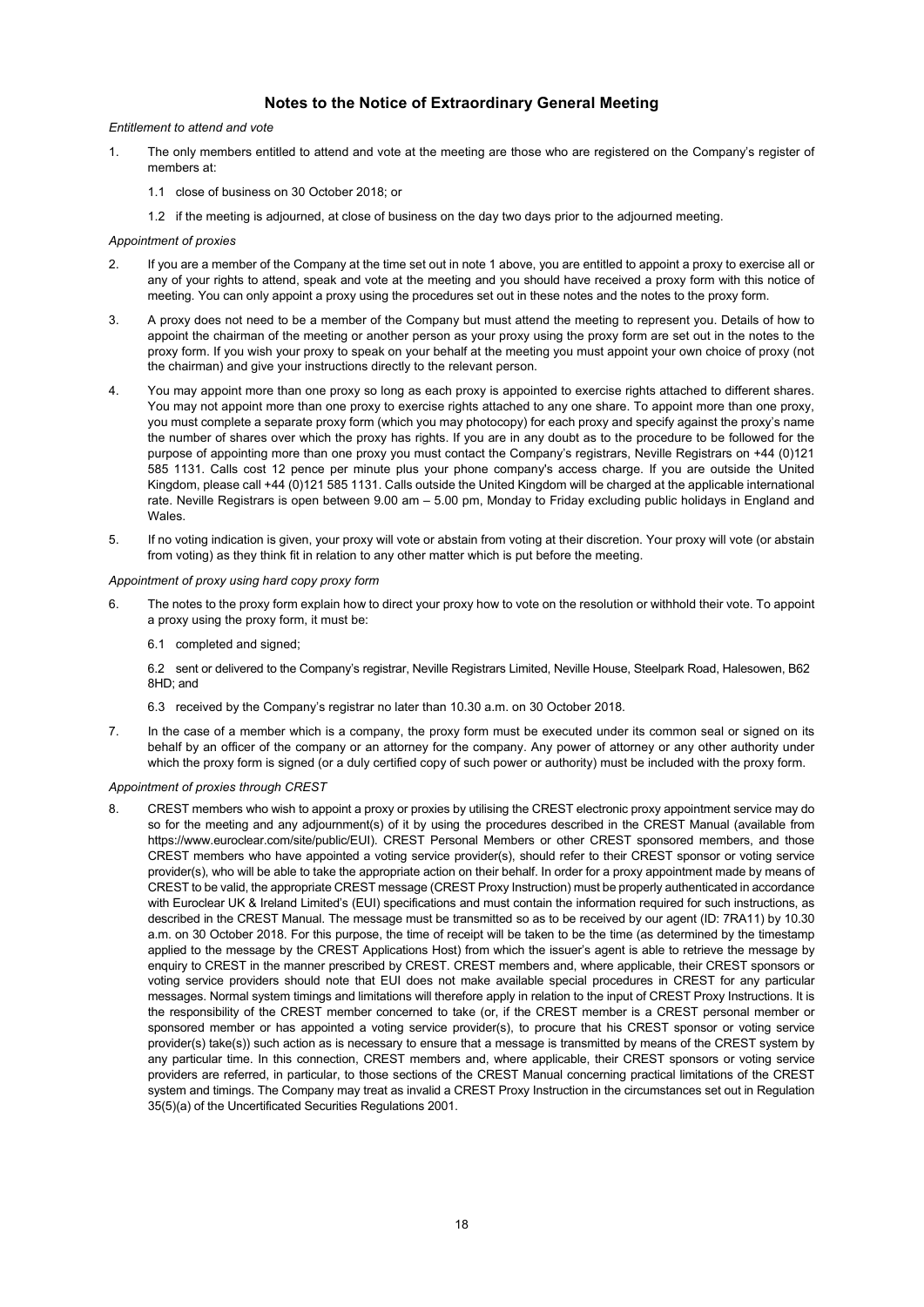## **Notes to the Notice of Extraordinary General Meeting**

#### *Entitlement to attend and vote*

- 1. The only members entitled to attend and vote at the meeting are those who are registered on the Company's register of members at:
	- 1.1 close of business on 30 October 2018; or
	- 1.2 if the meeting is adjourned, at close of business on the day two days prior to the adjourned meeting.

#### *Appointment of proxies*

- 2. If you are a member of the Company at the time set out in note 1 above, you are entitled to appoint a proxy to exercise all or any of your rights to attend, speak and vote at the meeting and you should have received a proxy form with this notice of meeting. You can only appoint a proxy using the procedures set out in these notes and the notes to the proxy form.
- 3. A proxy does not need to be a member of the Company but must attend the meeting to represent you. Details of how to appoint the chairman of the meeting or another person as your proxy using the proxy form are set out in the notes to the proxy form. If you wish your proxy to speak on your behalf at the meeting you must appoint your own choice of proxy (not the chairman) and give your instructions directly to the relevant person.
- 4. You may appoint more than one proxy so long as each proxy is appointed to exercise rights attached to different shares. You may not appoint more than one proxy to exercise rights attached to any one share. To appoint more than one proxy, you must complete a separate proxy form (which you may photocopy) for each proxy and specify against the proxy's name the number of shares over which the proxy has rights. If you are in any doubt as to the procedure to be followed for the purpose of appointing more than one proxy you must contact the Company's registrars, Neville Registrars on +44 (0)121 585 1131. Calls cost 12 pence per minute plus your phone company's access charge. If you are outside the United Kingdom, please call +44 (0)121 585 1131. Calls outside the United Kingdom will be charged at the applicable international rate. Neville Registrars is open between 9.00 am – 5.00 pm, Monday to Friday excluding public holidays in England and Wales.
- 5. If no voting indication is given, your proxy will vote or abstain from voting at their discretion. Your proxy will vote (or abstain from voting) as they think fit in relation to any other matter which is put before the meeting.

#### *Appointment of proxy using hard copy proxy form*

6. The notes to the proxy form explain how to direct your proxy how to vote on the resolution or withhold their vote. To appoint a proxy using the proxy form, it must be:

6.1 completed and signed;

6.2 sent or delivered to the Company's registrar, Neville Registrars Limited, Neville House, Steelpark Road, Halesowen, B62 8HD; and

6.3 received by the Company's registrar no later than 10.30 a.m. on 30 October 2018.

7. In the case of a member which is a company, the proxy form must be executed under its common seal or signed on its behalf by an officer of the company or an attorney for the company. Any power of attorney or any other authority under which the proxy form is signed (or a duly certified copy of such power or authority) must be included with the proxy form.

#### *Appointment of proxies through CREST*

8. CREST members who wish to appoint a proxy or proxies by utilising the CREST electronic proxy appointment service may do so for the meeting and any adjournment(s) of it by using the procedures described in the CREST Manual (available from https://www.euroclear.com/site/public/EUI). CREST Personal Members or other CREST sponsored members, and those CREST members who have appointed a voting service provider(s), should refer to their CREST sponsor or voting service provider(s), who will be able to take the appropriate action on their behalf. In order for a proxy appointment made by means of CREST to be valid, the appropriate CREST message (CREST Proxy Instruction) must be properly authenticated in accordance with Euroclear UK & Ireland Limited's (EUI) specifications and must contain the information required for such instructions, as described in the CREST Manual. The message must be transmitted so as to be received by our agent (ID: 7RA11) by 10.30 a.m. on 30 October 2018. For this purpose, the time of receipt will be taken to be the time (as determined by the timestamp applied to the message by the CREST Applications Host) from which the issuer's agent is able to retrieve the message by enquiry to CREST in the manner prescribed by CREST. CREST members and, where applicable, their CREST sponsors or voting service providers should note that EUI does not make available special procedures in CREST for any particular messages. Normal system timings and limitations will therefore apply in relation to the input of CREST Proxy Instructions. It is the responsibility of the CREST member concerned to take (or, if the CREST member is a CREST personal member or sponsored member or has appointed a voting service provider(s), to procure that his CREST sponsor or voting service provider(s) take(s)) such action as is necessary to ensure that a message is transmitted by means of the CREST system by any particular time. In this connection, CREST members and, where applicable, their CREST sponsors or voting service providers are referred, in particular, to those sections of the CREST Manual concerning practical limitations of the CREST system and timings. The Company may treat as invalid a CREST Proxy Instruction in the circumstances set out in Regulation 35(5)(a) of the Uncertificated Securities Regulations 2001.